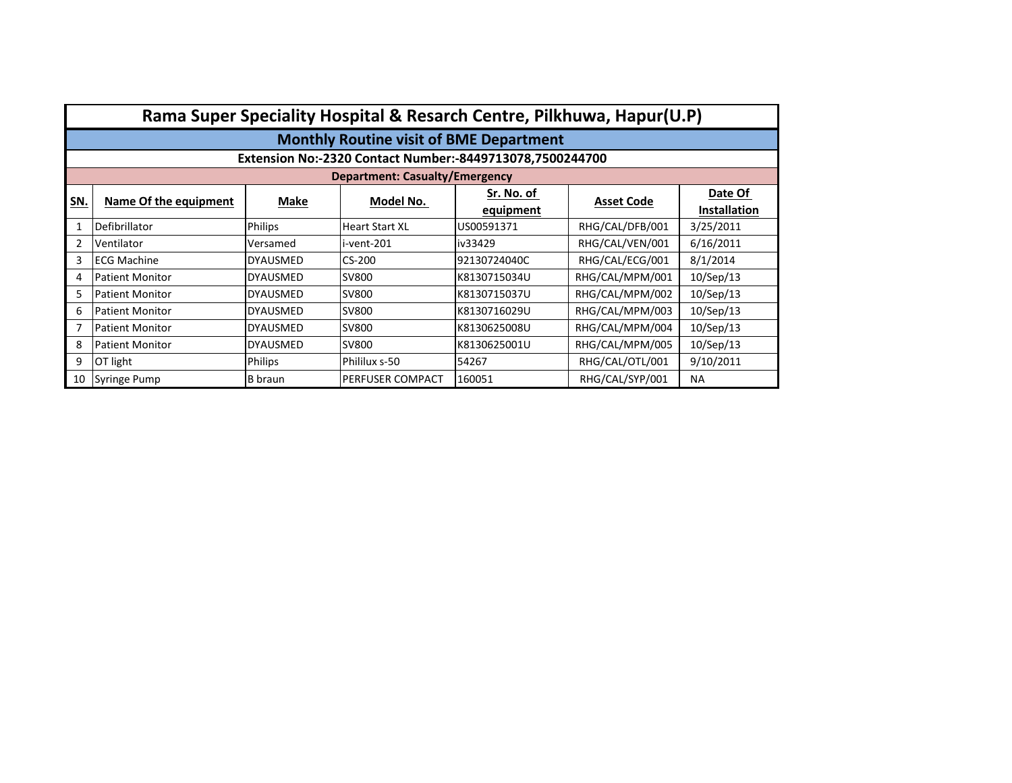|     | Rama Super Speciality Hospital & Resarch Centre, Pilkhuwa, Hapur(U.P) |                 |                                       |                                                          |                   |                                |  |  |  |  |
|-----|-----------------------------------------------------------------------|-----------------|---------------------------------------|----------------------------------------------------------|-------------------|--------------------------------|--|--|--|--|
|     | <b>Monthly Routine visit of BME Department</b>                        |                 |                                       |                                                          |                   |                                |  |  |  |  |
|     |                                                                       |                 |                                       | Extension No:-2320 Contact Number:-8449713078,7500244700 |                   |                                |  |  |  |  |
|     |                                                                       |                 | <b>Department: Casualty/Emergency</b> |                                                          |                   |                                |  |  |  |  |
| SN. | Name Of the equipment                                                 | Make            | Model No.                             | Sr. No. of<br>equipment                                  | <b>Asset Code</b> | Date Of<br><b>Installation</b> |  |  |  |  |
|     | Defibrillator                                                         | <b>Philips</b>  | <b>Heart Start XL</b>                 | US00591371                                               | RHG/CAL/DFB/001   | 3/25/2011                      |  |  |  |  |
| 2   | Ventilator                                                            | Versamed        | i-vent-201                            | iv33429                                                  | RHG/CAL/VEN/001   | 6/16/2011                      |  |  |  |  |
| 3   | <b>ECG Machine</b>                                                    | <b>DYAUSMED</b> | CS-200                                | 92130724040C                                             | RHG/CAL/ECG/001   | 8/1/2014                       |  |  |  |  |
| 4   | <b>Patient Monitor</b>                                                | <b>DYAUSMED</b> | SV800                                 | K8130715034U                                             | RHG/CAL/MPM/001   | 10/Sep/13                      |  |  |  |  |
| 5   | <b>Patient Monitor</b>                                                | <b>DYAUSMED</b> | <b>SV800</b>                          | K8130715037U                                             | RHG/CAL/MPM/002   | 10/Sep/13                      |  |  |  |  |
| 6   | <b>Patient Monitor</b>                                                | <b>DYAUSMED</b> | SV800                                 | K8130716029U                                             | RHG/CAL/MPM/003   | 10/Sep/13                      |  |  |  |  |
|     | <b>Patient Monitor</b>                                                | <b>DYAUSMED</b> | SV800                                 | K8130625008U                                             | RHG/CAL/MPM/004   | 10/Sep/13                      |  |  |  |  |
| 8   | <b>Patient Monitor</b>                                                | <b>DYAUSMED</b> | <b>SV800</b>                          | K8130625001U                                             | RHG/CAL/MPM/005   | 10/Sep/13                      |  |  |  |  |
| 9   | OT light                                                              | <b>Philips</b>  | Phililux s-50                         | 54267                                                    | RHG/CAL/OTL/001   | 9/10/2011                      |  |  |  |  |
| 10  | Syringe Pump                                                          | <b>B</b> braun  | PERFUSER COMPACT                      | 160051                                                   | RHG/CAL/SYP/001   | <b>NA</b>                      |  |  |  |  |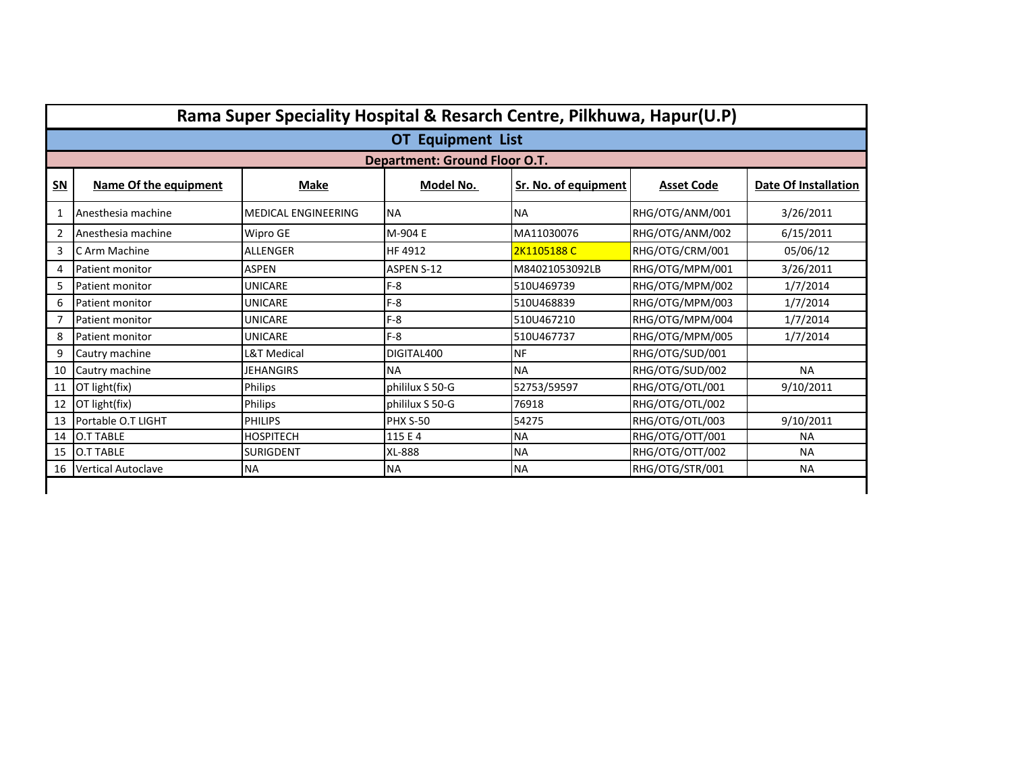|                                                                                                        | Rama Super Speciality Hospital & Resarch Centre, Pilkhuwa, Hapur(U.P) |                            |                                      |                |                 |                      |  |  |  |  |
|--------------------------------------------------------------------------------------------------------|-----------------------------------------------------------------------|----------------------------|--------------------------------------|----------------|-----------------|----------------------|--|--|--|--|
|                                                                                                        | <b>OT Equipment List</b>                                              |                            |                                      |                |                 |                      |  |  |  |  |
|                                                                                                        |                                                                       |                            | <b>Department: Ground Floor O.T.</b> |                |                 |                      |  |  |  |  |
| $SN$<br>Name Of the equipment<br><b>Make</b><br>Model No.<br>Sr. No. of equipment<br><b>Asset Code</b> |                                                                       |                            |                                      |                |                 | Date Of Installation |  |  |  |  |
|                                                                                                        | Anesthesia machine                                                    | <b>MEDICAL ENGINEERING</b> | <b>NA</b>                            | <b>NA</b>      | RHG/OTG/ANM/001 | 3/26/2011            |  |  |  |  |
| $\overline{2}$                                                                                         | Anesthesia machine                                                    | Wipro GE                   | M-904 E                              | MA11030076     | RHG/OTG/ANM/002 | 6/15/2011            |  |  |  |  |
| 3                                                                                                      | C Arm Machine                                                         | <b>ALLENGER</b>            | HF 4912                              | 2K1105188C     | RHG/OTG/CRM/001 | 05/06/12             |  |  |  |  |
| 4                                                                                                      | Patient monitor                                                       | <b>ASPEN</b>               | <b>ASPEN S-12</b>                    | M84021053092LB | RHG/OTG/MPM/001 | 3/26/2011            |  |  |  |  |
| 5                                                                                                      | Patient monitor                                                       | UNICARE                    | $F-8$                                | 510U469739     | RHG/OTG/MPM/002 | 1/7/2014             |  |  |  |  |
| 6                                                                                                      | Patient monitor                                                       | UNICARE                    | $F-8$                                | 510U468839     | RHG/OTG/MPM/003 | 1/7/2014             |  |  |  |  |
|                                                                                                        | Patient monitor                                                       | UNICARE                    | $F-8$                                | 510U467210     | RHG/OTG/MPM/004 | 1/7/2014             |  |  |  |  |
| 8                                                                                                      | <b>Patient monitor</b>                                                | UNICARE                    | $F-8$                                | 510U467737     | RHG/OTG/MPM/005 | 1/7/2014             |  |  |  |  |
| 9                                                                                                      | Cautry machine                                                        | L&T Medical                | DIGITAL400                           | <b>NF</b>      | RHG/OTG/SUD/001 |                      |  |  |  |  |
| 10                                                                                                     | Cautry machine                                                        | JEHANGIRS                  | <b>NA</b>                            | <b>NA</b>      | RHG/OTG/SUD/002 | <b>NA</b>            |  |  |  |  |
| 11                                                                                                     | OT light(fix)                                                         | Philips                    | phililux S 50-G                      | 52753/59597    | RHG/OTG/OTL/001 | 9/10/2011            |  |  |  |  |
| 12                                                                                                     | OT light(fix)                                                         | Philips                    | phililux S 50-G                      | 76918          | RHG/OTG/OTL/002 |                      |  |  |  |  |
| 13                                                                                                     | Portable O.T LIGHT                                                    | <b>PHILIPS</b>             | <b>PHX S-50</b>                      | 54275          | RHG/OTG/OTL/003 | 9/10/2011            |  |  |  |  |
| 14                                                                                                     | <b>O.T TABLE</b>                                                      | <b>HOSPITECH</b>           | 115 E 4                              | <b>NA</b>      | RHG/OTG/OTT/001 | <b>NA</b>            |  |  |  |  |
| 15                                                                                                     | <b>O.T TABLE</b>                                                      | <b>SURIGDENT</b>           | XL-888                               | <b>NA</b>      | RHG/OTG/OTT/002 | <b>NA</b>            |  |  |  |  |
| 16                                                                                                     | <b>Vertical Autoclave</b>                                             | <b>NA</b>                  | <b>NA</b>                            | <b>NA</b>      | RHG/OTG/STR/001 | <b>NA</b>            |  |  |  |  |
|                                                                                                        |                                                                       |                            |                                      |                |                 |                      |  |  |  |  |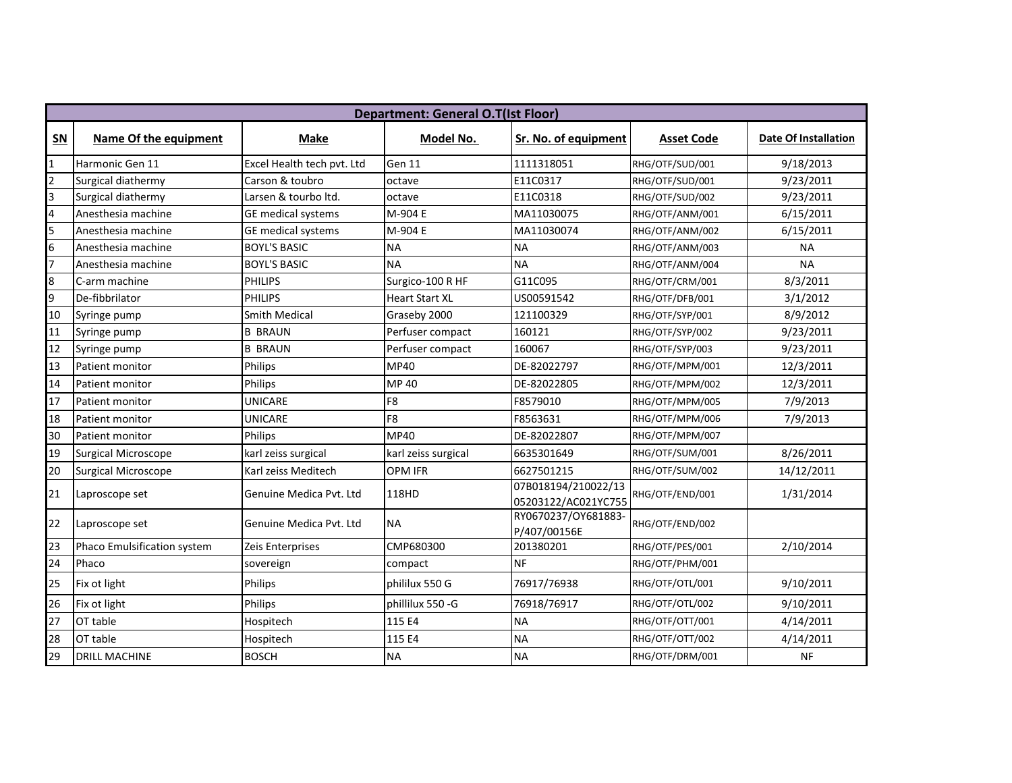|                         | <b>Department: General O.T(Ist Floor)</b> |                                              |                       |                                            |                   |                             |  |  |  |
|-------------------------|-------------------------------------------|----------------------------------------------|-----------------------|--------------------------------------------|-------------------|-----------------------------|--|--|--|
| $SN$                    | Name Of the equipment                     | <b>Make</b>                                  | Model No.             | Sr. No. of equipment                       | <b>Asset Code</b> | <b>Date Of Installation</b> |  |  |  |
| $\overline{1}$          | Harmonic Gen 11                           | Excel Health tech pvt. Ltd                   | Gen 11                | 1111318051                                 | RHG/OTF/SUD/001   | 9/18/2013                   |  |  |  |
| $\overline{2}$          | Surgical diathermy                        | Carson & toubro                              | octave                | E11C0317                                   | RHG/OTF/SUD/001   | 9/23/2011                   |  |  |  |
| Я                       | Surgical diathermy                        | Larsen & tourbo ltd.                         | octave                | E11C0318                                   | RHG/OTF/SUD/002   | 9/23/2011                   |  |  |  |
| $\overline{\mathbf{r}}$ | Anesthesia machine                        | GE medical systems                           | M-904 E               | MA11030075                                 | RHG/OTF/ANM/001   | 6/15/2011                   |  |  |  |
| 5                       | Anesthesia machine                        | <b>GE</b> medical systems                    | M-904 E               | MA11030074                                 | RHG/OTF/ANM/002   | 6/15/2011                   |  |  |  |
| $\overline{6}$          | Anesthesia machine                        | <b>BOYL'S BASIC</b>                          | <b>NA</b>             | <b>NA</b>                                  | RHG/OTF/ANM/003   | <b>NA</b>                   |  |  |  |
| $\overline{7}$          | Anesthesia machine                        | <b>BOYL'S BASIC</b>                          | <b>NA</b>             | <b>NA</b>                                  | RHG/OTF/ANM/004   | <b>NA</b>                   |  |  |  |
| 8                       | C-arm machine                             | <b>PHILIPS</b>                               | Surgico-100 R HF      | G11C095                                    | RHG/OTF/CRM/001   | 8/3/2011                    |  |  |  |
| 9                       | De-fibbrilator                            | <b>PHILIPS</b>                               | <b>Heart Start XL</b> | US00591542                                 | RHG/OTF/DFB/001   | 3/1/2012                    |  |  |  |
| 10                      | Syringe pump                              | <b>Smith Medical</b>                         | Graseby 2000          | 121100329                                  | RHG/OTF/SYP/001   | 8/9/2012                    |  |  |  |
| 11                      | Syringe pump                              | <b>B BRAUN</b>                               | Perfuser compact      | 160121                                     | RHG/OTF/SYP/002   | 9/23/2011                   |  |  |  |
| 12                      | Syringe pump                              | <b>B BRAUN</b><br>Perfuser compact<br>160067 |                       | RHG/OTF/SYP/003                            | 9/23/2011         |                             |  |  |  |
| 13                      | Patient monitor                           | Philips                                      | MP40                  | DE-82022797                                | RHG/OTF/MPM/001   | 12/3/2011                   |  |  |  |
| 14                      | Patient monitor                           | Philips                                      | MP 40                 | DE-82022805                                | RHG/OTF/MPM/002   | 12/3/2011                   |  |  |  |
| 17                      | Patient monitor                           | <b>UNICARE</b>                               | F8                    | F8579010                                   | RHG/OTF/MPM/005   | 7/9/2013                    |  |  |  |
| 18                      | Patient monitor                           | <b>UNICARE</b>                               | F <sub>8</sub>        | F8563631                                   | RHG/OTF/MPM/006   | 7/9/2013                    |  |  |  |
| 30                      | Patient monitor                           | Philips                                      | MP40                  | DE-82022807                                | RHG/OTF/MPM/007   |                             |  |  |  |
| 19                      | <b>Surgical Microscope</b>                | karl zeiss surgical                          | karl zeiss surgical   | 6635301649                                 | RHG/OTF/SUM/001   | 8/26/2011                   |  |  |  |
| 20                      | Surgical Microscope                       | Karl zeiss Meditech                          | <b>OPM IFR</b>        | 6627501215                                 | RHG/OTF/SUM/002   | 14/12/2011                  |  |  |  |
| 21                      | Laproscope set                            | Genuine Medica Pvt. Ltd                      | 118HD                 | 07B018194/210022/13<br>05203122/AC021YC755 | RHG/OTF/END/001   | 1/31/2014                   |  |  |  |
| 22                      | Laproscope set                            | Genuine Medica Pvt. Ltd                      | <b>NA</b>             | RY0670237/OY681883-<br>P/407/00156E        | RHG/OTF/END/002   |                             |  |  |  |
| 23                      | Phaco Emulsification system               | Zeis Enterprises                             | CMP680300             | 201380201                                  | RHG/OTF/PES/001   | 2/10/2014                   |  |  |  |
| 24                      | Phaco                                     | sovereign                                    | compact               | <b>NF</b>                                  | RHG/OTF/PHM/001   |                             |  |  |  |
| 25                      | Fix ot light                              | Philips                                      | phililux 550 G        | 76917/76938                                | RHG/OTF/OTL/001   | 9/10/2011                   |  |  |  |
| 26                      | Fix ot light                              | Philips                                      | phillilux 550 - G     | 76918/76917                                | RHG/OTF/OTL/002   | 9/10/2011                   |  |  |  |
| $\overline{27}$         | OT table                                  | Hospitech                                    | 115 E4                | <b>NA</b>                                  | RHG/OTF/OTT/001   | 4/14/2011                   |  |  |  |
| 28                      | OT table                                  | Hospitech                                    | 115 E4                | <b>NA</b>                                  | RHG/OTF/OTT/002   | 4/14/2011                   |  |  |  |
| 29                      | <b>DRILL MACHINE</b>                      | <b>BOSCH</b>                                 | <b>NA</b>             | <b>NA</b>                                  | RHG/OTF/DRM/001   | <b>NF</b>                   |  |  |  |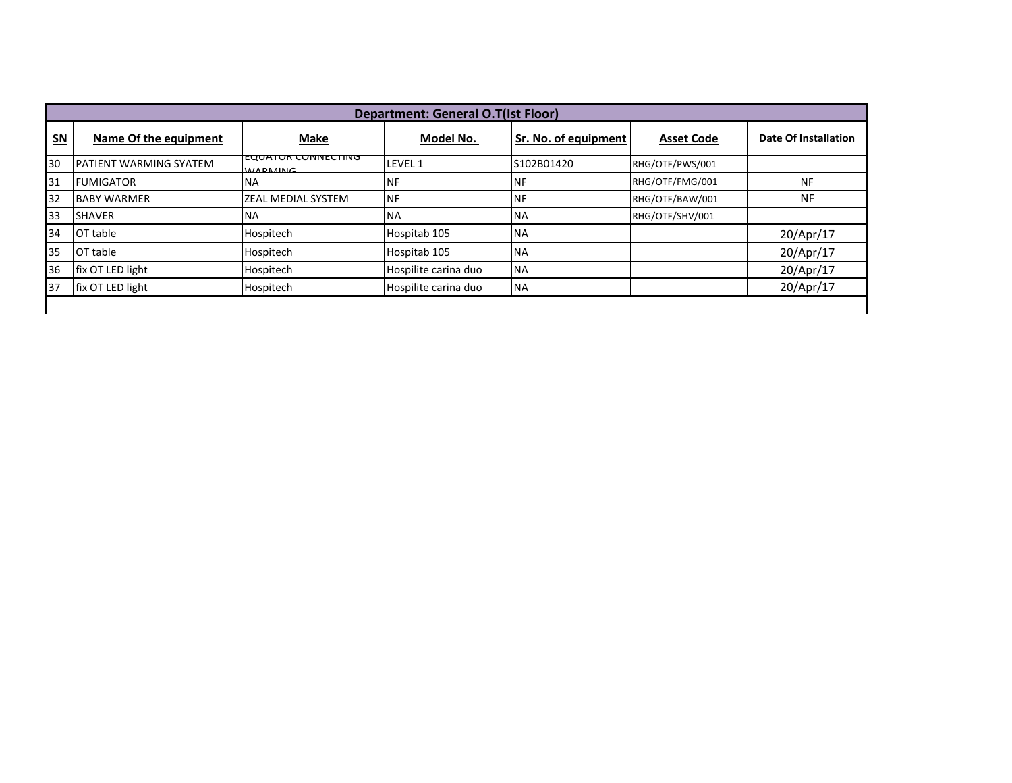|      | <b>Department: General O.T(Ist Floor)</b> |                                          |                      |                      |                   |                             |  |  |  |  |
|------|-------------------------------------------|------------------------------------------|----------------------|----------------------|-------------------|-----------------------------|--|--|--|--|
| $SN$ | Name Of the equipment                     | <b>Make</b>                              | Model No.            | Sr. No. of equipment | <b>Asset Code</b> | <b>Date Of Installation</b> |  |  |  |  |
| 30   | PATIENT WARMING SYATEM                    | EQUATUR CUNNECTING<br><b>IM/ADMAINIC</b> | LEVEL 1              | S102B01420           | RHG/OTF/PWS/001   |                             |  |  |  |  |
| 31   | <b>FUMIGATOR</b>                          | <b>NA</b>                                | <b>NF</b>            | <b>NF</b>            | RHG/OTF/FMG/001   | <b>NF</b>                   |  |  |  |  |
| 32   | <b>BABY WARMER</b>                        | <b>ZEAL MEDIAL SYSTEM</b>                | INF                  | <b>INF</b>           | RHG/OTF/BAW/001   | <b>NF</b>                   |  |  |  |  |
| 33   | <b>SHAVER</b>                             | <b>NA</b>                                | <b>NA</b>            | <b>NA</b>            | RHG/OTF/SHV/001   |                             |  |  |  |  |
| 34   | OT table                                  | Hospitech                                | Hospitab 105         | <b>NA</b>            |                   | 20/Apr/17                   |  |  |  |  |
| 35   | OT table                                  | Hospitech                                | Hospitab 105         | <b>NA</b>            |                   | 20/Apr/17                   |  |  |  |  |
| 36   | fix OT LED light                          | Hospitech                                | Hospilite carina duo | <b>NA</b>            |                   | 20/Apr/17                   |  |  |  |  |
| 37   | fix OT LED light                          | Hospitech                                | Hospilite carina duo | <b>NA</b>            |                   | 20/Apr/17                   |  |  |  |  |
|      |                                           |                                          |                      |                      |                   |                             |  |  |  |  |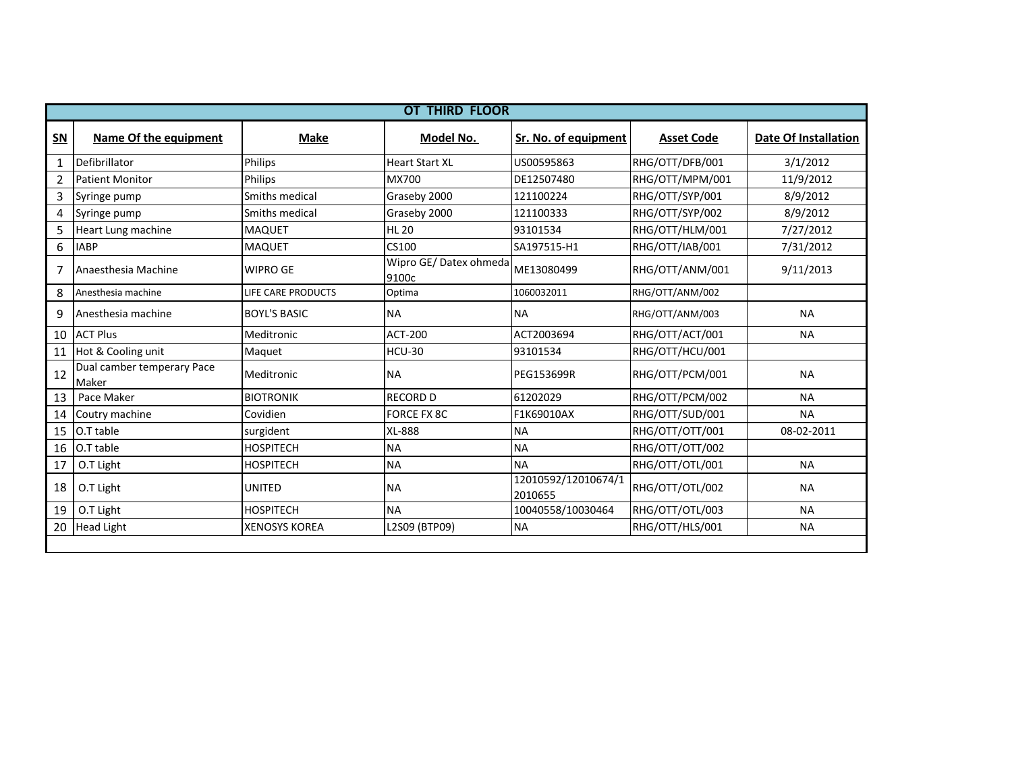|                | <b>OT THIRD FLOOR</b>                      |                           |                                |                                |                   |                             |  |  |  |  |
|----------------|--------------------------------------------|---------------------------|--------------------------------|--------------------------------|-------------------|-----------------------------|--|--|--|--|
| <b>SN</b>      | Name Of the equipment                      | <b>Make</b>               | Model No.                      | Sr. No. of equipment           | <b>Asset Code</b> | <b>Date Of Installation</b> |  |  |  |  |
| 1              | Defibrillator                              | Philips                   | <b>Heart Start XL</b>          | US00595863                     | RHG/OTT/DFB/001   | 3/1/2012                    |  |  |  |  |
| $\overline{2}$ | <b>Patient Monitor</b>                     | Philips                   | MX700                          | DE12507480                     | RHG/OTT/MPM/001   | 11/9/2012                   |  |  |  |  |
| 3              | Syringe pump                               | Smiths medical            | Graseby 2000                   | 121100224                      | RHG/OTT/SYP/001   | 8/9/2012                    |  |  |  |  |
| 4              | Syringe pump                               | Smiths medical            | Graseby 2000                   | 121100333                      | RHG/OTT/SYP/002   | 8/9/2012                    |  |  |  |  |
| 5              | Heart Lung machine                         | <b>MAQUET</b>             | <b>HL 20</b>                   | 93101534                       | RHG/OTT/HLM/001   | 7/27/2012                   |  |  |  |  |
| 6              | <b>IABP</b>                                | <b>MAQUET</b>             | CS100                          | SA197515-H1                    | RHG/OTT/IAB/001   | 7/31/2012                   |  |  |  |  |
| 7              | Anaesthesia Machine                        | <b>WIPRO GE</b>           | Wipro GE/Datex ohmeda<br>9100c | ME13080499                     | RHG/OTT/ANM/001   | 9/11/2013                   |  |  |  |  |
| 8              | Anesthesia machine                         | <b>LIFE CARE PRODUCTS</b> | Optima                         | 1060032011                     | RHG/OTT/ANM/002   |                             |  |  |  |  |
| 9              | Anesthesia machine                         | <b>BOYL'S BASIC</b>       | <b>NA</b>                      | <b>NA</b>                      | RHG/OTT/ANM/003   | <b>NA</b>                   |  |  |  |  |
| 10             | <b>ACT Plus</b>                            | Meditronic                | ACT-200                        | ACT2003694                     | RHG/OTT/ACT/001   | <b>NA</b>                   |  |  |  |  |
| 11             | Hot & Cooling unit                         | Maquet                    | <b>HCU-30</b>                  | 93101534                       | RHG/OTT/HCU/001   |                             |  |  |  |  |
| 12             | <b>Dual camber temperary Pace</b><br>Maker | Meditronic                | <b>NA</b>                      | PEG153699R                     | RHG/OTT/PCM/001   | <b>NA</b>                   |  |  |  |  |
| 13             | Pace Maker                                 | <b>BIOTRONIK</b>          | <b>RECORD D</b>                | 61202029                       | RHG/OTT/PCM/002   | <b>NA</b>                   |  |  |  |  |
| 14             | Coutry machine                             | Covidien                  | <b>FORCE FX 8C</b>             | F1K69010AX                     | RHG/OTT/SUD/001   | <b>NA</b>                   |  |  |  |  |
| 15             | O.T table                                  | surgident                 | <b>XL-888</b>                  | <b>NA</b>                      | RHG/OTT/OTT/001   | 08-02-2011                  |  |  |  |  |
| 16             | O.T table                                  | <b>HOSPITECH</b>          | <b>NA</b>                      | <b>NA</b>                      | RHG/OTT/OTT/002   |                             |  |  |  |  |
| 17             | O.T Light                                  | <b>HOSPITECH</b>          | <b>NA</b>                      | <b>NA</b>                      | RHG/OTT/OTL/001   | <b>NA</b>                   |  |  |  |  |
| 18             | O.T Light                                  | <b>UNITED</b>             | <b>NA</b>                      | 12010592/12010674/1<br>2010655 | RHG/OTT/OTL/002   | <b>NA</b>                   |  |  |  |  |
| 19             | O.T Light                                  | <b>HOSPITECH</b>          | <b>NA</b>                      | 10040558/10030464              | RHG/OTT/OTL/003   | <b>NA</b>                   |  |  |  |  |
| 20             | <b>Head Light</b>                          | <b>XENOSYS KOREA</b>      | L2S09 (BTP09)                  | <b>NA</b>                      | RHG/OTT/HLS/001   | <b>NA</b>                   |  |  |  |  |
|                |                                            |                           |                                |                                |                   |                             |  |  |  |  |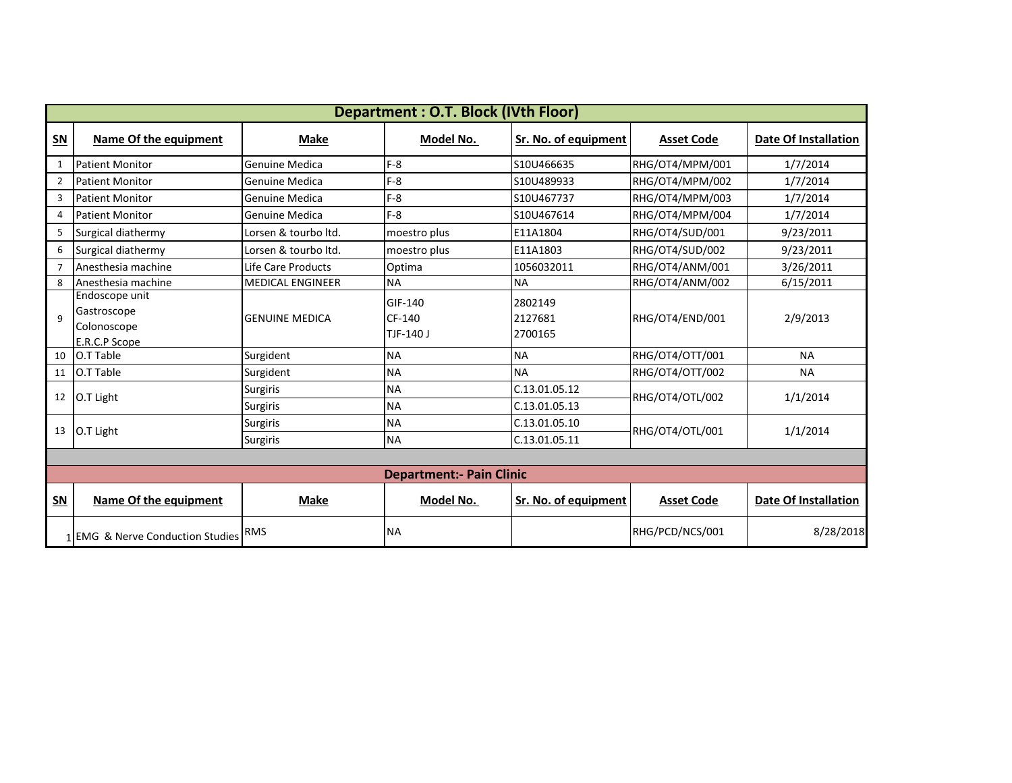|                | <b>Department: O.T. Block (IVth Floor)</b>                    |                                    |                                 |                                |                   |                             |  |  |  |
|----------------|---------------------------------------------------------------|------------------------------------|---------------------------------|--------------------------------|-------------------|-----------------------------|--|--|--|
| $SN$           | Name Of the equipment                                         | <b>Make</b>                        | Model No.                       | Sr. No. of equipment           | <b>Asset Code</b> | <b>Date Of Installation</b> |  |  |  |
| $\mathbf{1}$   | <b>Patient Monitor</b>                                        | Genuine Medica                     | $F-8$                           | S10U466635                     | RHG/OT4/MPM/001   | 1/7/2014                    |  |  |  |
| $\overline{2}$ | <b>Patient Monitor</b>                                        | Genuine Medica                     | $F-8$                           | S10U489933                     | RHG/OT4/MPM/002   | 1/7/2014                    |  |  |  |
| 3              | <b>Patient Monitor</b>                                        | Genuine Medica                     | $F-8$                           | S10U467737                     | RHG/OT4/MPM/003   | 1/7/2014                    |  |  |  |
| 4              | <b>Patient Monitor</b>                                        | Genuine Medica                     | $F-8$                           | S10U467614                     | RHG/OT4/MPM/004   | 1/7/2014                    |  |  |  |
| 5              | Surgical diathermy                                            | Lorsen & tourbo ltd.               | moestro plus                    | E11A1804                       | RHG/OT4/SUD/001   | 9/23/2011                   |  |  |  |
| 6              | Surgical diathermy                                            | Lorsen & tourbo ltd.               | moestro plus                    | E11A1803                       | RHG/OT4/SUD/002   | 9/23/2011                   |  |  |  |
| $\overline{7}$ | Anesthesia machine                                            | Life Care Products                 | Optima                          | 1056032011                     | RHG/OT4/ANM/001   | 3/26/2011                   |  |  |  |
| 8              | Anesthesia machine                                            | <b>MEDICAL ENGINEER</b>            | <b>NA</b>                       | <b>NA</b>                      | RHG/OT4/ANM/002   | 6/15/2011                   |  |  |  |
| $\mathbf{q}$   | Endoscope unit<br>Gastroscope<br>Colonoscope<br>E.R.C.P Scope | <b>GENUINE MEDICA</b>              | GIF-140<br>CF-140<br>TJF-140 J  | 2802149<br>2127681<br>2700165  | RHG/OT4/END/001   | 2/9/2013                    |  |  |  |
| 10             | O.T Table                                                     | Surgident                          | <b>NA</b>                       | <b>NA</b>                      | RHG/OT4/OTT/001   | <b>NA</b>                   |  |  |  |
| 11             | O.T Table                                                     | Surgident                          | <b>NA</b>                       | <b>NA</b>                      | RHG/OT4/OTT/002   | <b>NA</b>                   |  |  |  |
| 12             | O.T Light                                                     | Surgiris<br><b>Surgiris</b>        | <b>NA</b><br><b>NA</b>          | C.13.01.05.12<br>C.13.01.05.13 | RHG/OT4/OTL/002   | 1/1/2014                    |  |  |  |
| 13             | O.T Light                                                     | <b>Surgiris</b><br><b>Surgiris</b> | <b>NA</b><br><b>NA</b>          | C.13.01.05.10<br>C.13.01.05.11 | RHG/OT4/OTL/001   | 1/1/2014                    |  |  |  |
|                |                                                               |                                    |                                 |                                |                   |                             |  |  |  |
|                |                                                               |                                    | <b>Department:- Pain Clinic</b> |                                |                   |                             |  |  |  |
| $SN$           | Name Of the equipment                                         | <b>Make</b>                        | Model No.                       | Sr. No. of equipment           | <b>Asset Code</b> | Date Of Installation        |  |  |  |
|                | 1 EMG & Nerve Conduction Studies RMS                          |                                    | <b>NA</b>                       |                                | RHG/PCD/NCS/001   | 8/28/2018                   |  |  |  |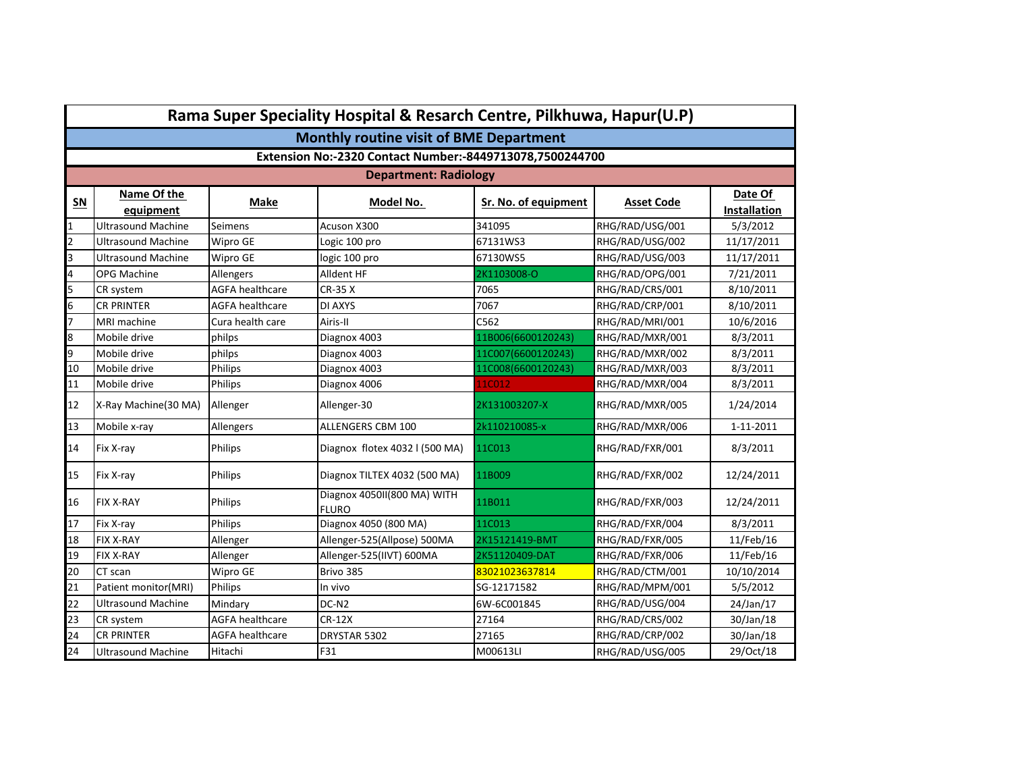|                | Rama Super Speciality Hospital & Resarch Centre, Pilkhuwa, Hapur(U.P) |                        |                                             |                      |                   |                         |  |  |  |  |
|----------------|-----------------------------------------------------------------------|------------------------|---------------------------------------------|----------------------|-------------------|-------------------------|--|--|--|--|
|                | <b>Monthly routine visit of BME Department</b>                        |                        |                                             |                      |                   |                         |  |  |  |  |
|                | Extension No:-2320 Contact Number:-8449713078,7500244700              |                        |                                             |                      |                   |                         |  |  |  |  |
|                |                                                                       |                        | <b>Department: Radiology</b>                |                      |                   |                         |  |  |  |  |
| $SN$           | Name Of the<br>equipment                                              | Make                   | Model No.                                   | Sr. No. of equipment | <b>Asset Code</b> | Date Of<br>Installation |  |  |  |  |
| $\mathbf{1}$   | Ultrasound Machine                                                    | Seimens                | Acuson X300                                 | 341095               | RHG/RAD/USG/001   | 5/3/2012                |  |  |  |  |
| $\overline{2}$ | Ultrasound Machine                                                    | Wipro GE               | Logic 100 pro                               | 67131WS3             | RHG/RAD/USG/002   | 11/17/2011              |  |  |  |  |
| 3              | <b>Ultrasound Machine</b>                                             | Wipro GE               | logic 100 pro                               | 67130WS5             | RHG/RAD/USG/003   | 11/17/2011              |  |  |  |  |
| $\overline{a}$ | <b>OPG Machine</b>                                                    | Allengers              | Alldent HF                                  | 2K1103008-O          | RHG/RAD/OPG/001   | 7/21/2011               |  |  |  |  |
| 5              | CR system                                                             | <b>AGFA healthcare</b> | CR-35 X                                     | 7065                 | RHG/RAD/CRS/001   | 8/10/2011               |  |  |  |  |
| 6              | <b>CR PRINTER</b>                                                     | <b>AGFA healthcare</b> | DI AXYS                                     | 7067                 | RHG/RAD/CRP/001   | 8/10/2011               |  |  |  |  |
| $\overline{7}$ | MRI machine                                                           | Cura health care       | Airis-II                                    | C562                 | RHG/RAD/MRI/001   | 10/6/2016               |  |  |  |  |
| 8              | Mobile drive                                                          | philps                 | Diagnox 4003                                | 11B006(6600120243)   | RHG/RAD/MXR/001   | 8/3/2011                |  |  |  |  |
| 9              | Mobile drive                                                          | philps                 | Diagnox 4003                                | 11C007(6600120243)   | RHG/RAD/MXR/002   | 8/3/2011                |  |  |  |  |
| 10             | Mobile drive                                                          | Philips                | Diagnox 4003                                | 11C008(6600120243)   | RHG/RAD/MXR/003   | 8/3/2011                |  |  |  |  |
| 11             | Mobile drive                                                          | Philips                | Diagnox 4006                                | 11C012               | RHG/RAD/MXR/004   | 8/3/2011                |  |  |  |  |
| 12             | X-Ray Machine(30 MA)                                                  | Allenger               | Allenger-30                                 | 2K131003207-X        | RHG/RAD/MXR/005   | 1/24/2014               |  |  |  |  |
| 13             | Mobile x-ray                                                          | Allengers              | <b>ALLENGERS CBM 100</b>                    | 2k110210085-x        | RHG/RAD/MXR/006   | 1-11-2011               |  |  |  |  |
| 14             | Fix X-ray                                                             | Philips                | Diagnox flotex 4032 l (500 MA)              | 11C013               | RHG/RAD/FXR/001   | 8/3/2011                |  |  |  |  |
| 15             | Fix X-ray                                                             | Philips                | Diagnox TILTEX 4032 (500 MA)                | 11B009               | RHG/RAD/FXR/002   | 12/24/2011              |  |  |  |  |
| 16             | <b>FIX X-RAY</b>                                                      | Philips                | Diagnox 4050II(800 MA) WITH<br><b>FLURO</b> | 11B011               | RHG/RAD/FXR/003   | 12/24/2011              |  |  |  |  |
| 17             | Fix X-ray                                                             | Philips                | Diagnox 4050 (800 MA)                       | 11C013               | RHG/RAD/FXR/004   | 8/3/2011                |  |  |  |  |
| 18             | <b>FIX X-RAY</b>                                                      | Allenger               | Allenger-525(Allpose) 500MA                 | 2K15121419-BMT       | RHG/RAD/FXR/005   | 11/Feb/16               |  |  |  |  |
| 19             | <b>FIX X-RAY</b>                                                      | Allenger               | Allenger-525(IIVT) 600MA                    | 2K51120409-DAT       | RHG/RAD/FXR/006   | 11/Feb/16               |  |  |  |  |
| 20             | CT scan                                                               | Wipro GE               | Brivo 385                                   | 83021023637814       | RHG/RAD/CTM/001   | 10/10/2014              |  |  |  |  |
| 21             | Patient monitor(MRI)                                                  | Philips                | In vivo                                     | SG-12171582          | RHG/RAD/MPM/001   | 5/5/2012                |  |  |  |  |
| 22             | Ultrasound Machine                                                    | Mindary                | DC-N <sub>2</sub>                           | 6W-6C001845          | RHG/RAD/USG/004   | 24/Jan/17               |  |  |  |  |
| 23             | CR system                                                             | <b>AGFA healthcare</b> | CR-12X                                      | 27164                | RHG/RAD/CRS/002   | 30/Jan/18               |  |  |  |  |
| 24             | <b>CR PRINTER</b>                                                     | <b>AGFA healthcare</b> | DRYSTAR 5302                                | 27165                | RHG/RAD/CRP/002   | 30/Jan/18               |  |  |  |  |
| 24             | <b>Ultrasound Machine</b>                                             | Hitachi                | F31                                         | M00613LI             | RHG/RAD/USG/005   | 29/Oct/18               |  |  |  |  |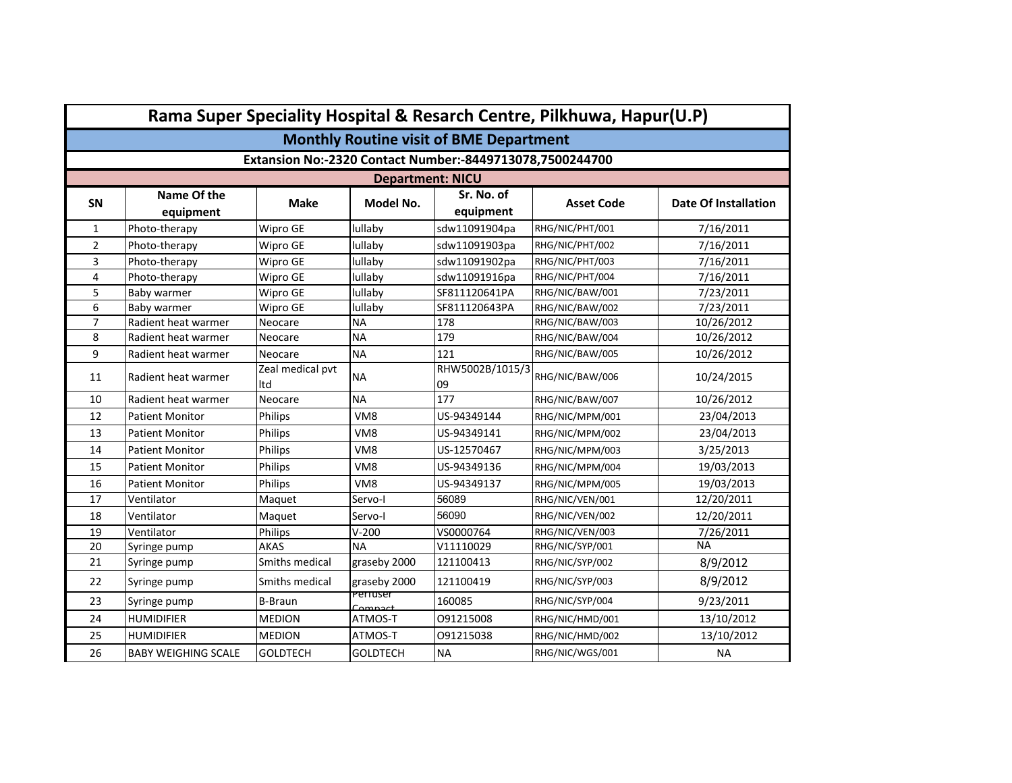|                | Rama Super Speciality Hospital & Resarch Centre, Pilkhuwa, Hapur(U.P) |                         |                          |                         |                   |                             |  |  |  |  |
|----------------|-----------------------------------------------------------------------|-------------------------|--------------------------|-------------------------|-------------------|-----------------------------|--|--|--|--|
|                | <b>Monthly Routine visit of BME Department</b>                        |                         |                          |                         |                   |                             |  |  |  |  |
|                | Extansion No:-2320 Contact Number:-8449713078,7500244700              |                         |                          |                         |                   |                             |  |  |  |  |
|                |                                                                       |                         | <b>Department: NICU</b>  |                         |                   |                             |  |  |  |  |
| SN             | Name Of the<br>equipment                                              | <b>Make</b>             | Model No.                | Sr. No. of<br>equipment | <b>Asset Code</b> | <b>Date Of Installation</b> |  |  |  |  |
| $\mathbf{1}$   | Photo-therapy                                                         | Wipro GE                | lullaby                  | sdw11091904pa           | RHG/NIC/PHT/001   | 7/16/2011                   |  |  |  |  |
| $\overline{2}$ | Photo-therapy                                                         | Wipro GE                | lullaby                  | sdw11091903pa           | RHG/NIC/PHT/002   | 7/16/2011                   |  |  |  |  |
| 3              | Photo-therapy                                                         | Wipro GE                | lullaby                  | sdw11091902pa           | RHG/NIC/PHT/003   | 7/16/2011                   |  |  |  |  |
| 4              | Photo-therapy                                                         | Wipro GE                | lullaby                  | sdw11091916pa           | RHG/NIC/PHT/004   | 7/16/2011                   |  |  |  |  |
| 5              | Baby warmer                                                           | Wipro GE                | lullaby                  | SF811120641PA           | RHG/NIC/BAW/001   | 7/23/2011                   |  |  |  |  |
| 6              | Baby warmer                                                           | Wipro GE                | lullaby                  | SF811120643PA           | RHG/NIC/BAW/002   | 7/23/2011                   |  |  |  |  |
| $\overline{7}$ | Radient heat warmer                                                   | Neocare                 | <b>NA</b>                | 178                     | RHG/NIC/BAW/003   | 10/26/2012                  |  |  |  |  |
| 8              | Radient heat warmer                                                   | Neocare                 | <b>NA</b>                | 179                     | RHG/NIC/BAW/004   | 10/26/2012                  |  |  |  |  |
| 9              | Radient heat warmer                                                   | Neocare                 | <b>NA</b>                | 121                     | RHG/NIC/BAW/005   | 10/26/2012                  |  |  |  |  |
| 11             | Radient heat warmer                                                   | Zeal medical pvt<br>Itd | <b>NA</b>                | RHW5002B/1015/3<br>09   | RHG/NIC/BAW/006   | 10/24/2015                  |  |  |  |  |
| 10             | Radient heat warmer                                                   | Neocare                 | <b>NA</b>                | 177                     | RHG/NIC/BAW/007   | 10/26/2012                  |  |  |  |  |
| 12             | Patient Monitor                                                       | <b>Philips</b>          | VM <sub>8</sub>          | US-94349144             | RHG/NIC/MPM/001   | 23/04/2013                  |  |  |  |  |
| 13             | <b>Patient Monitor</b>                                                | Philips                 | VM8                      | US-94349141             | RHG/NIC/MPM/002   | 23/04/2013                  |  |  |  |  |
| 14             | <b>Patient Monitor</b>                                                | Philips                 | VM <sub>8</sub>          | US-12570467             | RHG/NIC/MPM/003   | 3/25/2013                   |  |  |  |  |
| 15             | Patient Monitor                                                       | <b>Philips</b>          | VM <sub>8</sub>          | US-94349136             | RHG/NIC/MPM/004   | 19/03/2013                  |  |  |  |  |
| 16             | Patient Monitor                                                       | Philips                 | VM <sub>8</sub>          | US-94349137             | RHG/NIC/MPM/005   | 19/03/2013                  |  |  |  |  |
| 17             | Ventilator                                                            | Maquet                  | Servo-I                  | 56089                   | RHG/NIC/VEN/001   | 12/20/2011                  |  |  |  |  |
| 18             | Ventilator                                                            | Maguet                  | Servo-I                  | 56090                   | RHG/NIC/VEN/002   | 12/20/2011                  |  |  |  |  |
| 19             | Ventilator                                                            | Philips                 | $V-200$                  | VS0000764               | RHG/NIC/VEN/003   | 7/26/2011                   |  |  |  |  |
| 20             | Syringe pump                                                          | <b>AKAS</b>             | <b>NA</b>                | V11110029               | RHG/NIC/SYP/001   | <b>NA</b>                   |  |  |  |  |
| 21             | Syringe pump                                                          | Smiths medical          | graseby 2000             | 121100413               | RHG/NIC/SYP/002   | 8/9/2012                    |  |  |  |  |
| 22             | Syringe pump                                                          | Smiths medical          | graseby 2000<br>Periuser | 121100419               | RHG/NIC/SYP/003   | 8/9/2012                    |  |  |  |  |
| 23             | Syringe pump                                                          | <b>B-Braun</b>          | Compact                  | 160085                  | RHG/NIC/SYP/004   | 9/23/2011                   |  |  |  |  |
| 24             | <b>HUMIDIFIER</b>                                                     | <b>MEDION</b>           | ATMOS-T                  | 091215008               | RHG/NIC/HMD/001   | 13/10/2012                  |  |  |  |  |
| 25             | <b>HUMIDIFIER</b>                                                     | <b>MEDION</b>           | ATMOS-T                  | 091215038               | RHG/NIC/HMD/002   | 13/10/2012                  |  |  |  |  |
| 26             | <b>BABY WEIGHING SCALE</b>                                            | <b>GOLDTECH</b>         | <b>GOLDTECH</b>          | <b>NA</b>               | RHG/NIC/WGS/001   | <b>NA</b>                   |  |  |  |  |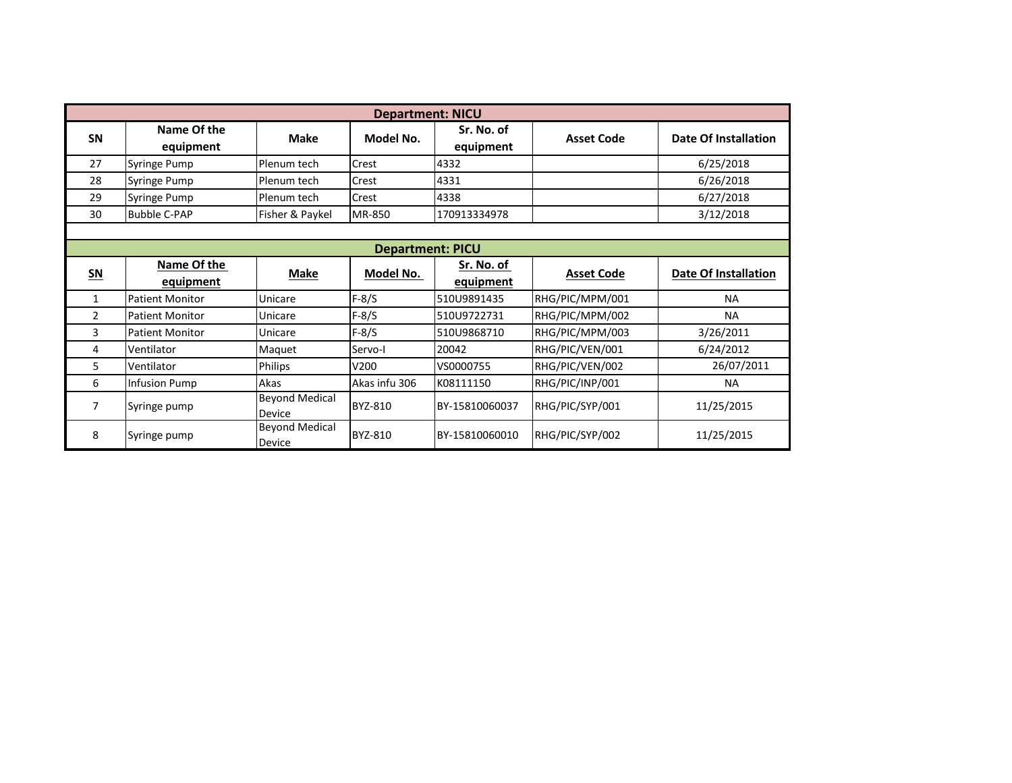|           | <b>Department: NICU</b>  |                                 |               |                         |                   |                      |  |  |  |  |
|-----------|--------------------------|---------------------------------|---------------|-------------------------|-------------------|----------------------|--|--|--|--|
| <b>SN</b> | Name Of the<br>equipment | <b>Make</b>                     | Model No.     | Sr. No. of<br>equipment | <b>Asset Code</b> | Date Of Installation |  |  |  |  |
| 27        | Syringe Pump             | Plenum tech                     | Crest         | 4332                    |                   | 6/25/2018            |  |  |  |  |
| 28        | <b>Syringe Pump</b>      | Plenum tech                     | Crest         | 4331                    |                   | 6/26/2018            |  |  |  |  |
| 29        | <b>Syringe Pump</b>      | Plenum tech                     | Crest         | 4338                    |                   | 6/27/2018            |  |  |  |  |
| 30        | <b>Bubble C-PAP</b>      | Fisher & Paykel                 | MR-850        | 170913334978            |                   | 3/12/2018            |  |  |  |  |
|           |                          |                                 |               |                         |                   |                      |  |  |  |  |
|           | <b>Department: PICU</b>  |                                 |               |                         |                   |                      |  |  |  |  |
| $SN$      | Name Of the<br>equipment | Make                            | Model No.     | Sr. No. of<br>equipment | <b>Asset Code</b> | Date Of Installation |  |  |  |  |
| 1         | <b>Patient Monitor</b>   | Unicare                         | $F-8/S$       | 510U9891435             | RHG/PIC/MPM/001   | <b>NA</b>            |  |  |  |  |
| 2         | <b>Patient Monitor</b>   | Unicare                         | $F-8/S$       | 510U9722731             | RHG/PIC/MPM/002   | <b>NA</b>            |  |  |  |  |
| 3         | <b>Patient Monitor</b>   | Unicare                         | $F-8/S$       | 510U9868710             | RHG/PIC/MPM/003   | 3/26/2011            |  |  |  |  |
| 4         | Ventilator               | Maquet                          | Servo-I       | 20042                   | RHG/PIC/VEN/001   | 6/24/2012            |  |  |  |  |
| 5         | Ventilator               | Philips                         | V200          | VS0000755               | RHG/PIC/VEN/002   | 26/07/2011           |  |  |  |  |
| 6         | Infusion Pump            | Akas                            | Akas infu 306 | K08111150               | RHG/PIC/INP/001   | <b>NA</b>            |  |  |  |  |
| 7         | Syringe pump             | <b>Beyond Medical</b><br>Device | BYZ-810       | BY-15810060037          | RHG/PIC/SYP/001   | 11/25/2015           |  |  |  |  |
| 8         | Syringe pump             | <b>Bevond Medical</b><br>Device | BYZ-810       | BY-15810060010          | RHG/PIC/SYP/002   | 11/25/2015           |  |  |  |  |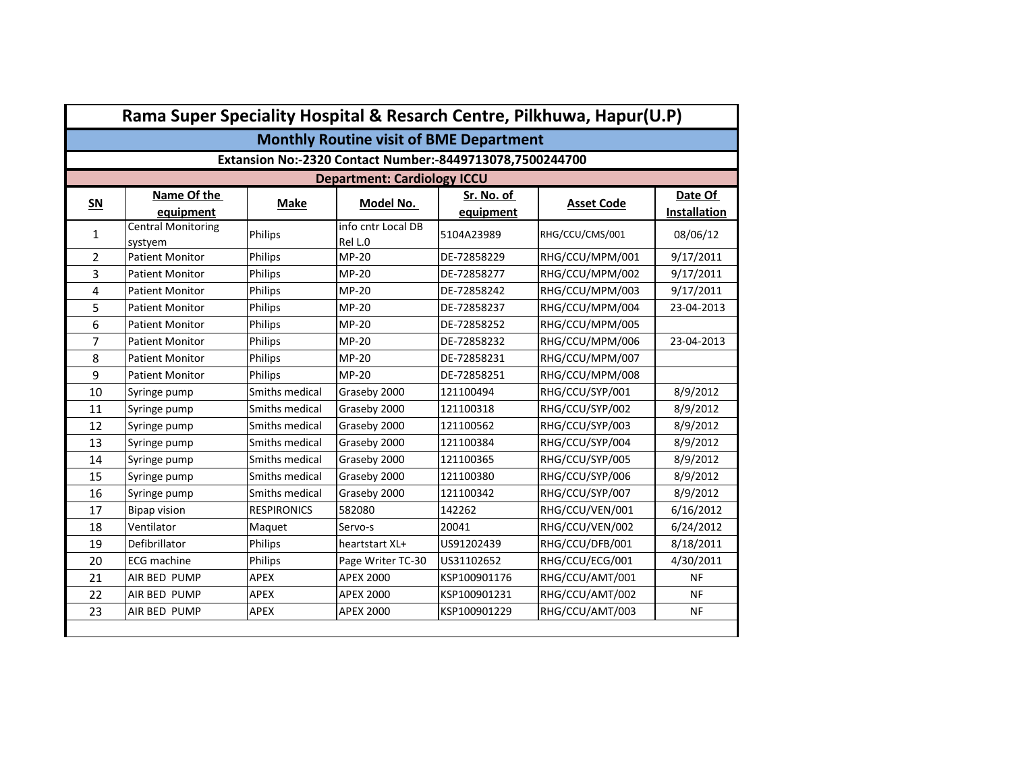|                | Rama Super Speciality Hospital & Resarch Centre, Pilkhuwa, Hapur(U.P) |                    |                                    |              |                   |              |  |  |  |
|----------------|-----------------------------------------------------------------------|--------------------|------------------------------------|--------------|-------------------|--------------|--|--|--|
|                | <b>Monthly Routine visit of BME Department</b>                        |                    |                                    |              |                   |              |  |  |  |
|                | Extansion No:-2320 Contact Number:-8449713078,7500244700              |                    |                                    |              |                   |              |  |  |  |
|                |                                                                       |                    | <b>Department: Cardiology ICCU</b> |              |                   |              |  |  |  |
| $SN$           | Name Of the                                                           | <b>Make</b>        | Model No.                          | Sr. No. of   | <b>Asset Code</b> | Date Of      |  |  |  |
|                | equipment                                                             |                    |                                    | equipment    |                   | Installation |  |  |  |
| $\mathbf{1}$   | <b>Central Monitoring</b><br>systyem                                  | Philips            | info cntr Local DB<br>Rel L.0      | 5104A23989   | RHG/CCU/CMS/001   | 08/06/12     |  |  |  |
| $\overline{2}$ | <b>Patient Monitor</b>                                                | Philips            | <b>MP-20</b>                       | DE-72858229  | RHG/CCU/MPM/001   | 9/17/2011    |  |  |  |
| 3              | <b>Patient Monitor</b>                                                | Philips            | <b>MP-20</b>                       | DE-72858277  | RHG/CCU/MPM/002   | 9/17/2011    |  |  |  |
| 4              | <b>Patient Monitor</b>                                                | Philips            | <b>MP-20</b>                       | DE-72858242  | RHG/CCU/MPM/003   | 9/17/2011    |  |  |  |
| 5              | <b>Patient Monitor</b>                                                | Philips            | MP-20                              | DE-72858237  | RHG/CCU/MPM/004   | 23-04-2013   |  |  |  |
| 6              | <b>Patient Monitor</b>                                                | <b>Philips</b>     | MP-20                              | DE-72858252  | RHG/CCU/MPM/005   |              |  |  |  |
| 7              | <b>Patient Monitor</b>                                                | Philips            | <b>MP-20</b>                       | DE-72858232  | RHG/CCU/MPM/006   | 23-04-2013   |  |  |  |
| 8              | <b>Patient Monitor</b>                                                | Philips            | MP-20                              | DE-72858231  | RHG/CCU/MPM/007   |              |  |  |  |
| 9              | <b>Patient Monitor</b>                                                | Philips            | <b>MP-20</b>                       | DE-72858251  | RHG/CCU/MPM/008   |              |  |  |  |
| 10             | Syringe pump                                                          | Smiths medical     | Graseby 2000                       | 121100494    | RHG/CCU/SYP/001   | 8/9/2012     |  |  |  |
| 11             | Syringe pump                                                          | Smiths medical     | Graseby 2000                       | 121100318    | RHG/CCU/SYP/002   | 8/9/2012     |  |  |  |
| 12             | Syringe pump                                                          | Smiths medical     | Graseby 2000                       | 121100562    | RHG/CCU/SYP/003   | 8/9/2012     |  |  |  |
| 13             | Syringe pump                                                          | Smiths medical     | Graseby 2000                       | 121100384    | RHG/CCU/SYP/004   | 8/9/2012     |  |  |  |
| 14             | Syringe pump                                                          | Smiths medical     | Graseby 2000                       | 121100365    | RHG/CCU/SYP/005   | 8/9/2012     |  |  |  |
| 15             | Syringe pump                                                          | Smiths medical     | Graseby 2000                       | 121100380    | RHG/CCU/SYP/006   | 8/9/2012     |  |  |  |
| 16             | Syringe pump                                                          | Smiths medical     | Graseby 2000                       | 121100342    | RHG/CCU/SYP/007   | 8/9/2012     |  |  |  |
| 17             | <b>Bipap vision</b>                                                   | <b>RESPIRONICS</b> | 582080                             | 142262       | RHG/CCU/VEN/001   | 6/16/2012    |  |  |  |
| 18             | Ventilator                                                            | Maquet             | Servo-s                            | 20041        | RHG/CCU/VEN/002   | 6/24/2012    |  |  |  |
| 19             | Defibrillator                                                         | Philips            | heartstart XL+                     | US91202439   | RHG/CCU/DFB/001   | 8/18/2011    |  |  |  |
| 20             | <b>ECG</b> machine                                                    | Philips            | Page Writer TC-30                  | US31102652   | RHG/CCU/ECG/001   | 4/30/2011    |  |  |  |
| 21             | AIR BED PUMP                                                          | APEX               | <b>APEX 2000</b>                   | KSP100901176 | RHG/CCU/AMT/001   | <b>NF</b>    |  |  |  |
| 22             | AIR BED PUMP                                                          | <b>APEX</b>        | <b>APEX 2000</b>                   | KSP100901231 | RHG/CCU/AMT/002   | NF           |  |  |  |
| 23             | AIR BED PUMP                                                          | <b>APEX</b>        | <b>APEX 2000</b>                   | KSP100901229 | RHG/CCU/AMT/003   | <b>NF</b>    |  |  |  |
|                |                                                                       |                    |                                    |              |                   |              |  |  |  |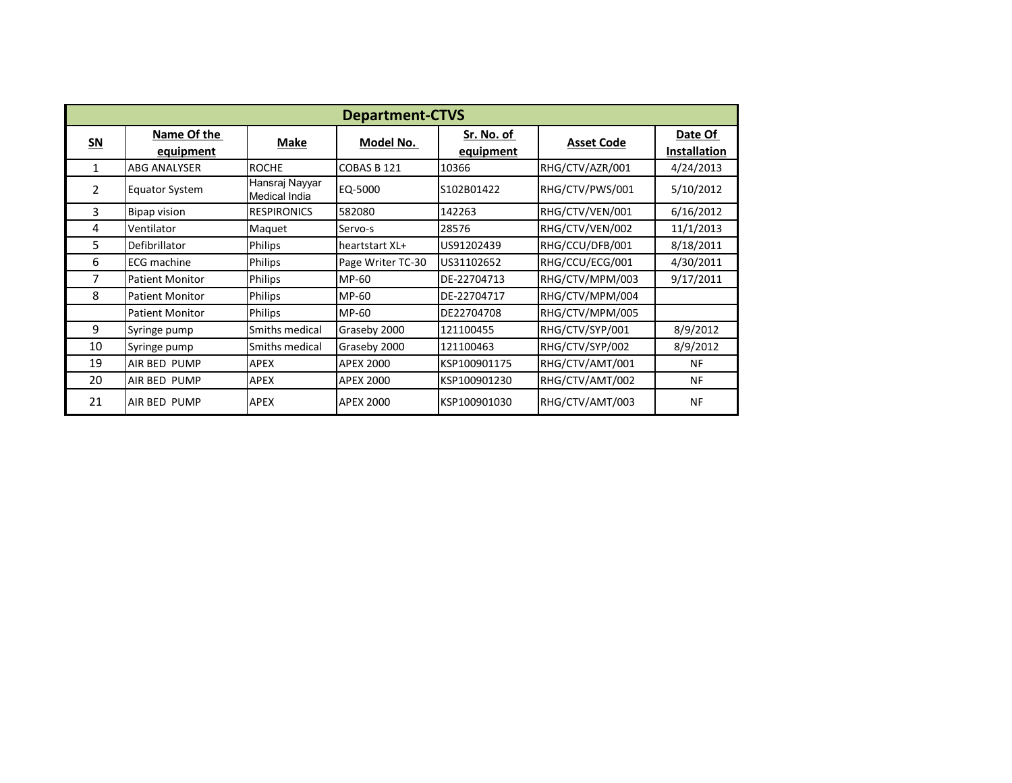|                | <b>Department-CTVS</b>   |                                 |                   |                         |                   |                                |  |  |  |  |
|----------------|--------------------------|---------------------------------|-------------------|-------------------------|-------------------|--------------------------------|--|--|--|--|
| $SN$           | Name Of the<br>equipment | Make                            | Model No.         | Sr. No. of<br>equipment | <b>Asset Code</b> | Date Of<br><b>Installation</b> |  |  |  |  |
| 1              | <b>ABG ANALYSER</b>      | <b>ROCHE</b>                    | COBAS B 121       | 10366                   | RHG/CTV/AZR/001   | 4/24/2013                      |  |  |  |  |
| $\overline{2}$ | <b>Equator System</b>    | Hansraj Nayyar<br>Medical India | EQ-5000           | S102B01422              | RHG/CTV/PWS/001   | 5/10/2012                      |  |  |  |  |
| 3              | <b>Bipap vision</b>      | <b>RESPIRONICS</b>              | 582080            | 142263                  | RHG/CTV/VEN/001   | 6/16/2012                      |  |  |  |  |
| 4              | Ventilator               | Maquet                          | Servo-s           | 28576                   | RHG/CTV/VEN/002   | 11/1/2013                      |  |  |  |  |
| 5.             | Defibrillator            | Philips                         | heartstart XL+    | US91202439              | RHG/CCU/DFB/001   | 8/18/2011                      |  |  |  |  |
| 6              | <b>ECG</b> machine       | Philips                         | Page Writer TC-30 | US31102652              | RHG/CCU/ECG/001   | 4/30/2011                      |  |  |  |  |
| 7              | <b>Patient Monitor</b>   | Philips                         | MP-60             | DE-22704713             | RHG/CTV/MPM/003   | 9/17/2011                      |  |  |  |  |
| 8              | <b>Patient Monitor</b>   | Philips                         | MP-60             | DE-22704717             | RHG/CTV/MPM/004   |                                |  |  |  |  |
|                | <b>Patient Monitor</b>   | Philips                         | MP-60             | DE22704708              | RHG/CTV/MPM/005   |                                |  |  |  |  |
| 9              | Syringe pump             | Smiths medical                  | Graseby 2000      | 121100455               | RHG/CTV/SYP/001   | 8/9/2012                       |  |  |  |  |
| 10             | Syringe pump             | Smiths medical                  | Graseby 2000      | 121100463               | RHG/CTV/SYP/002   | 8/9/2012                       |  |  |  |  |
| 19             | AIR BED PUMP             | <b>APEX</b>                     | <b>APEX 2000</b>  | KSP100901175            | RHG/CTV/AMT/001   | <b>NF</b>                      |  |  |  |  |
| 20             | <b>AIR BED PUMP</b>      | <b>APEX</b>                     | <b>APEX 2000</b>  | KSP100901230            | RHG/CTV/AMT/002   | <b>NF</b>                      |  |  |  |  |
| 21             | AIR BED PUMP             | <b>APEX</b>                     | <b>APEX 2000</b>  | KSP100901030            | RHG/CTV/AMT/003   | <b>NF</b>                      |  |  |  |  |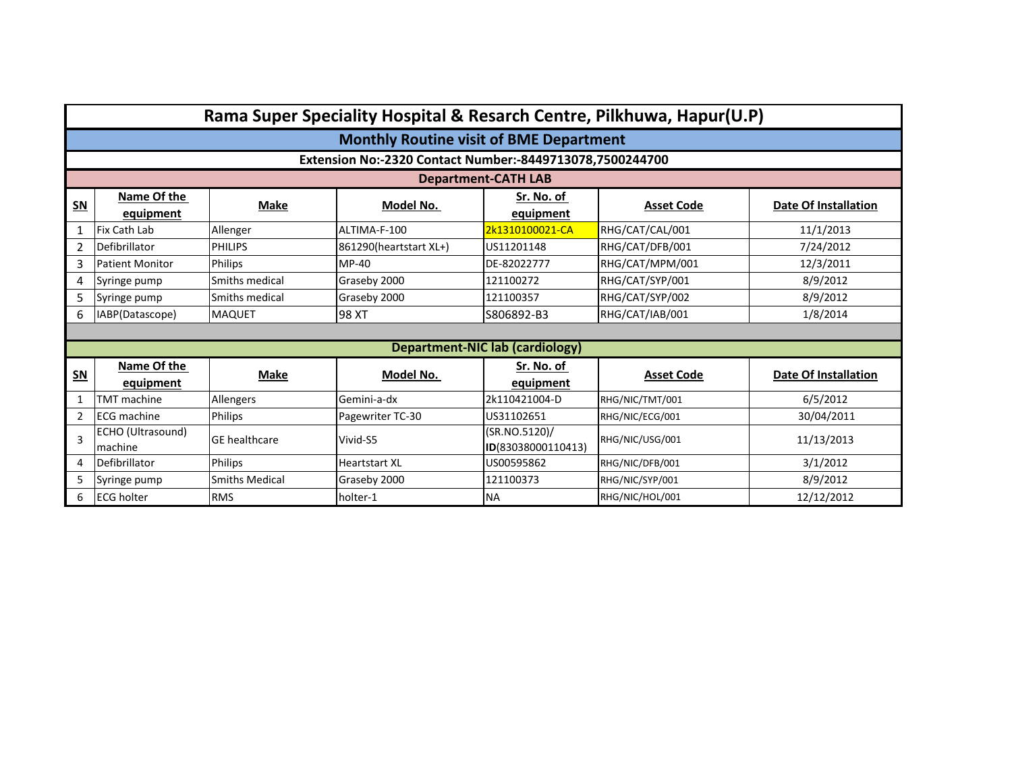|                |                                                |                       |                                                          |                                        | Rama Super Speciality Hospital & Resarch Centre, Pilkhuwa, Hapur(U.P) |                             |  |  |  |  |
|----------------|------------------------------------------------|-----------------------|----------------------------------------------------------|----------------------------------------|-----------------------------------------------------------------------|-----------------------------|--|--|--|--|
|                | <b>Monthly Routine visit of BME Department</b> |                       |                                                          |                                        |                                                                       |                             |  |  |  |  |
|                |                                                |                       | Extension No:-2320 Contact Number:-8449713078,7500244700 |                                        |                                                                       |                             |  |  |  |  |
|                |                                                |                       |                                                          | <b>Department-CATH LAB</b>             |                                                                       |                             |  |  |  |  |
| $SN$           | Name Of the<br>equipment                       | <b>Make</b>           | Model No.                                                | Sr. No. of<br>equipment                | <b>Asset Code</b>                                                     | Date Of Installation        |  |  |  |  |
| 1              | Fix Cath Lab                                   | Allenger              | ALTIMA-F-100                                             | 2k1310100021-CA                        | RHG/CAT/CAL/001                                                       | 11/1/2013                   |  |  |  |  |
| 2              | Defibrillator                                  | <b>PHILIPS</b>        | 861290(heartstart XL+)                                   | US11201148                             | RHG/CAT/DFB/001                                                       | 7/24/2012                   |  |  |  |  |
| 3              | <b>Patient Monitor</b>                         | Philips               | $MP-40$                                                  | DE-82022777                            | RHG/CAT/MPM/001                                                       | 12/3/2011                   |  |  |  |  |
| 4              | Syringe pump                                   | Smiths medical        | Graseby 2000                                             | 121100272                              | RHG/CAT/SYP/001                                                       | 8/9/2012                    |  |  |  |  |
| 5              | Syringe pump                                   | Smiths medical        | Graseby 2000                                             | 121100357                              | RHG/CAT/SYP/002                                                       | 8/9/2012                    |  |  |  |  |
| 6              | IABP(Datascope)                                | <b>MAQUET</b>         | 98 XT                                                    | S806892-B3                             | RHG/CAT/IAB/001                                                       | 1/8/2014                    |  |  |  |  |
|                |                                                |                       |                                                          |                                        |                                                                       |                             |  |  |  |  |
|                |                                                |                       |                                                          | <b>Department-NIC lab (cardiology)</b> |                                                                       |                             |  |  |  |  |
| $SN$           | Name Of the                                    | <b>Make</b>           | Model No.                                                | Sr. No. of                             | <b>Asset Code</b>                                                     | <b>Date Of Installation</b> |  |  |  |  |
|                | equipment                                      |                       |                                                          | equipment                              |                                                                       |                             |  |  |  |  |
| 1              | <b>TMT</b> machine                             | Allengers             | Gemini-a-dx                                              | 2k110421004-D                          | RHG/NIC/TMT/001                                                       | 6/5/2012                    |  |  |  |  |
| $\overline{2}$ | <b>ECG</b> machine                             | Philips               | Pagewriter TC-30                                         | US31102651                             | RHG/NIC/ECG/001                                                       | 30/04/2011                  |  |  |  |  |
| 3              | ECHO (Ultrasound)<br>machine                   | <b>GE</b> healthcare  | Vivid-S5                                                 | (SR.NO.5120)/<br>ID(83038000110413)    | RHG/NIC/USG/001                                                       | 11/13/2013                  |  |  |  |  |
| 4              | Defibrillator                                  | Philips               | <b>Heartstart XL</b>                                     | US00595862                             | RHG/NIC/DFB/001                                                       | 3/1/2012                    |  |  |  |  |
| 5              | Syringe pump                                   | <b>Smiths Medical</b> | Graseby 2000                                             | 121100373                              | RHG/NIC/SYP/001                                                       | 8/9/2012                    |  |  |  |  |
| 6              | <b>ECG holter</b>                              | <b>RMS</b>            | holter-1                                                 | <b>NA</b>                              | RHG/NIC/HOL/001                                                       | 12/12/2012                  |  |  |  |  |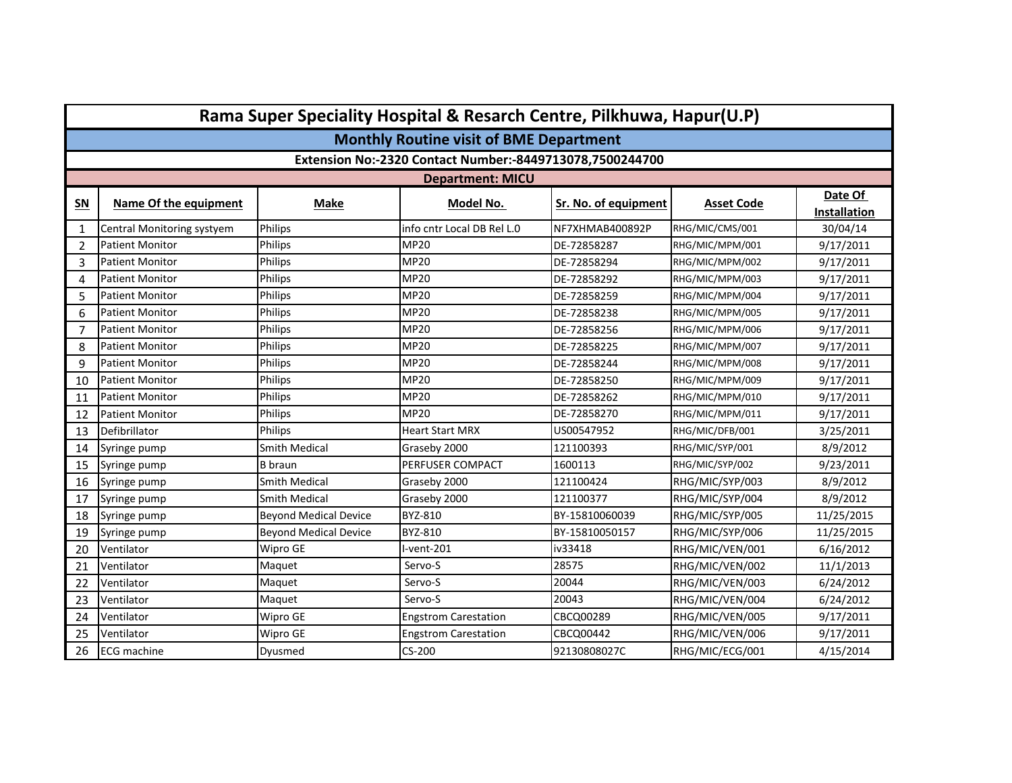|                | Rama Super Speciality Hospital & Resarch Centre, Pilkhuwa, Hapur(U.P) |                              |                             |                      |                   |                                |  |  |  |  |
|----------------|-----------------------------------------------------------------------|------------------------------|-----------------------------|----------------------|-------------------|--------------------------------|--|--|--|--|
|                | <b>Monthly Routine visit of BME Department</b>                        |                              |                             |                      |                   |                                |  |  |  |  |
|                | Extension No:-2320 Contact Number:-8449713078,7500244700              |                              |                             |                      |                   |                                |  |  |  |  |
|                | <b>Department: MICU</b>                                               |                              |                             |                      |                   |                                |  |  |  |  |
| $SN$           | Name Of the equipment                                                 | <b>Make</b>                  | Model No.                   | Sr. No. of equipment | <b>Asset Code</b> | Date Of<br><b>Installation</b> |  |  |  |  |
| 1              | Central Monitoring systyem                                            | Philips                      | info cntr Local DB Rel L.0  | NF7XHMAB400892P      | RHG/MIC/CMS/001   | 30/04/14                       |  |  |  |  |
| $\overline{2}$ | <b>Patient Monitor</b>                                                | Philips                      | <b>MP20</b>                 | DE-72858287          | RHG/MIC/MPM/001   | 9/17/2011                      |  |  |  |  |
| 3              | <b>Patient Monitor</b>                                                | Philips                      | <b>MP20</b>                 | DE-72858294          | RHG/MIC/MPM/002   | 9/17/2011                      |  |  |  |  |
| 4              | <b>Patient Monitor</b>                                                | Philips                      | <b>MP20</b>                 | DE-72858292          | RHG/MIC/MPM/003   | 9/17/2011                      |  |  |  |  |
| 5              | <b>Patient Monitor</b>                                                | Philips                      | <b>MP20</b>                 | DE-72858259          | RHG/MIC/MPM/004   | 9/17/2011                      |  |  |  |  |
| 6              | <b>Patient Monitor</b>                                                | Philips                      | <b>MP20</b>                 | DE-72858238          | RHG/MIC/MPM/005   | 9/17/2011                      |  |  |  |  |
| $\overline{7}$ | <b>Patient Monitor</b>                                                | Philips                      | <b>MP20</b>                 | DE-72858256          | RHG/MIC/MPM/006   | 9/17/2011                      |  |  |  |  |
| 8              | <b>Patient Monitor</b>                                                | Philips                      | <b>MP20</b>                 | DE-72858225          | RHG/MIC/MPM/007   | 9/17/2011                      |  |  |  |  |
| 9              | <b>Patient Monitor</b>                                                | Philips                      | <b>MP20</b>                 | DE-72858244          | RHG/MIC/MPM/008   | 9/17/2011                      |  |  |  |  |
| 10             | <b>Patient Monitor</b>                                                | Philips                      | <b>MP20</b>                 | DE-72858250          | RHG/MIC/MPM/009   | 9/17/2011                      |  |  |  |  |
| 11             | <b>Patient Monitor</b>                                                | Philips                      | <b>MP20</b>                 | DE-72858262          | RHG/MIC/MPM/010   | 9/17/2011                      |  |  |  |  |
| 12             | <b>Patient Monitor</b>                                                | Philips                      | MP20                        | DE-72858270          | RHG/MIC/MPM/011   | 9/17/2011                      |  |  |  |  |
| 13             | Defibrillator                                                         | Philips                      | <b>Heart Start MRX</b>      | US00547952           | RHG/MIC/DFB/001   | 3/25/2011                      |  |  |  |  |
| 14             | Syringe pump                                                          | Smith Medical                | Graseby 2000                | 121100393            | RHG/MIC/SYP/001   | 8/9/2012                       |  |  |  |  |
| 15             | Syringe pump                                                          | <b>B</b> braun               | PERFUSER COMPACT            | 1600113              | RHG/MIC/SYP/002   | 9/23/2011                      |  |  |  |  |
| 16             | Syringe pump                                                          | <b>Smith Medical</b>         | Graseby 2000                | 121100424            | RHG/MIC/SYP/003   | 8/9/2012                       |  |  |  |  |
| 17             | Syringe pump                                                          | Smith Medical                | Graseby 2000                | 121100377            | RHG/MIC/SYP/004   | 8/9/2012                       |  |  |  |  |
| 18             | Syringe pump                                                          | <b>Beyond Medical Device</b> | BYZ-810                     | BY-15810060039       | RHG/MIC/SYP/005   | 11/25/2015                     |  |  |  |  |
| 19             | Syringe pump                                                          | <b>Beyond Medical Device</b> | BYZ-810                     | BY-15810050157       | RHG/MIC/SYP/006   | 11/25/2015                     |  |  |  |  |
| 20             | Ventilator                                                            | Wipro GE                     | l-vent-201                  | iv33418              | RHG/MIC/VEN/001   | 6/16/2012                      |  |  |  |  |
| 21             | Ventilator                                                            | Maquet                       | Servo-S                     | 28575                | RHG/MIC/VEN/002   | 11/1/2013                      |  |  |  |  |
| 22             | Ventilator                                                            | Maquet                       | Servo-S                     | 20044                | RHG/MIC/VEN/003   | 6/24/2012                      |  |  |  |  |
| 23             | Ventilator                                                            | Maquet                       | Servo-S                     | 20043                | RHG/MIC/VEN/004   | 6/24/2012                      |  |  |  |  |
| 24             | Ventilator                                                            | Wipro GE                     | <b>Engstrom Carestation</b> | CBCQ00289            | RHG/MIC/VEN/005   | 9/17/2011                      |  |  |  |  |
| 25             | Ventilator                                                            | Wipro GE                     | <b>Engstrom Carestation</b> | CBCQ00442            | RHG/MIC/VEN/006   | 9/17/2011                      |  |  |  |  |
| 26             | <b>ECG</b> machine                                                    | Dyusmed                      | CS-200                      | 92130808027C         | RHG/MIC/ECG/001   | 4/15/2014                      |  |  |  |  |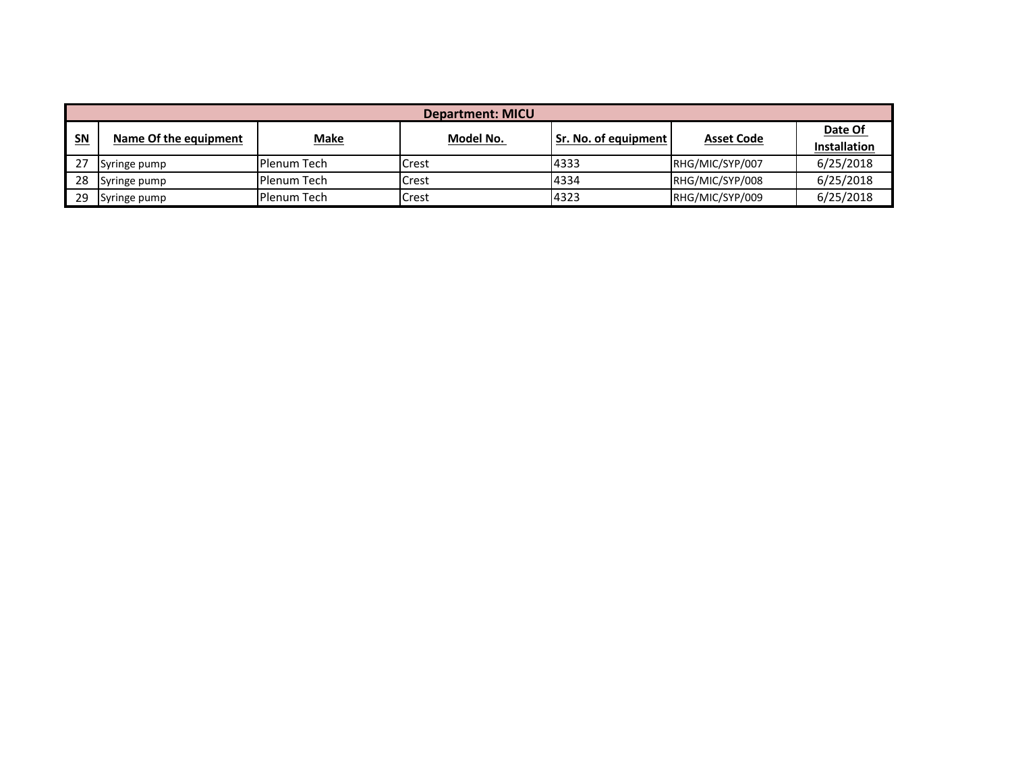| Department: MICU |                       |                    |           |                      |                   |                     |  |  |
|------------------|-----------------------|--------------------|-----------|----------------------|-------------------|---------------------|--|--|
| <u>SN</u>        | Name Of the equipment | <b>Make</b>        | Model No. | Sr. No. of equipment | <b>Asset Code</b> | Date Of             |  |  |
|                  |                       |                    |           |                      |                   | <b>Installation</b> |  |  |
| 27               | Syringe pump          | l Plenum Tech      | Crest     | 4333                 | RHG/MIC/SYP/007   | 6/25/2018           |  |  |
| 28               | Syringe pump          | IPlenum Tech       | Crest     | 4334                 | RHG/MIC/SYP/008   | 6/25/2018           |  |  |
| 29               | Syringe pump          | <b>Plenum Tech</b> | Crest     | 4323                 | RHG/MIC/SYP/009   | 6/25/2018           |  |  |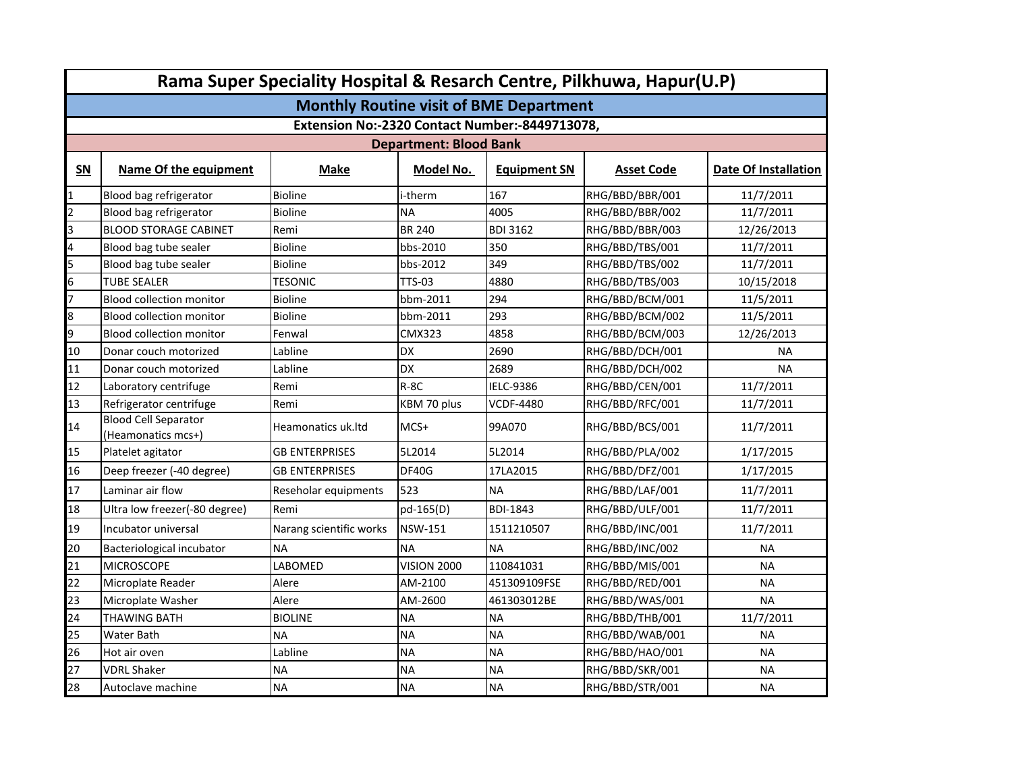|                         | Rama Super Speciality Hospital & Resarch Centre, Pilkhuwa, Hapur(U.P) |                         |                               |                     |                   |                             |  |  |  |
|-------------------------|-----------------------------------------------------------------------|-------------------------|-------------------------------|---------------------|-------------------|-----------------------------|--|--|--|
|                         | <b>Monthly Routine visit of BME Department</b>                        |                         |                               |                     |                   |                             |  |  |  |
|                         | Extension No:-2320 Contact Number:-8449713078,                        |                         |                               |                     |                   |                             |  |  |  |
|                         |                                                                       |                         | <b>Department: Blood Bank</b> |                     |                   |                             |  |  |  |
| SN                      | Name Of the equipment                                                 | <b>Make</b>             | Model No.                     | <b>Equipment SN</b> | <b>Asset Code</b> | <b>Date Of Installation</b> |  |  |  |
| $\mathbf{1}$            | Blood bag refrigerator                                                | <b>Bioline</b>          | i-therm                       | 167                 | RHG/BBD/BBR/001   | 11/7/2011                   |  |  |  |
| 2                       | Blood bag refrigerator                                                | <b>Bioline</b>          | <b>NA</b>                     | 4005                | RHG/BBD/BBR/002   | 11/7/2011                   |  |  |  |
| 3                       | <b>BLOOD STORAGE CABINET</b>                                          | Remi                    | <b>BR 240</b>                 | <b>BDI 3162</b>     | RHG/BBD/BBR/003   | 12/26/2013                  |  |  |  |
| $\overline{\mathbf{4}}$ | Blood bag tube sealer                                                 | <b>Bioline</b>          | bbs-2010                      | 350                 | RHG/BBD/TBS/001   | 11/7/2011                   |  |  |  |
| 5                       | Blood bag tube sealer                                                 | <b>Bioline</b>          | bbs-2012                      | 349                 | RHG/BBD/TBS/002   | 11/7/2011                   |  |  |  |
| 6                       | <b>TUBE SEALER</b>                                                    | <b>TESONIC</b>          | <b>TTS-03</b>                 | 4880                | RHG/BBD/TBS/003   | 10/15/2018                  |  |  |  |
| 7                       | <b>Blood collection monitor</b>                                       | <b>Bioline</b>          | bbm-2011                      | 294                 | RHG/BBD/BCM/001   | 11/5/2011                   |  |  |  |
| 8                       | <b>Blood collection monitor</b>                                       | <b>Bioline</b>          | bbm-2011                      | 293                 | RHG/BBD/BCM/002   | 11/5/2011                   |  |  |  |
| 9                       | <b>Blood collection monitor</b>                                       | Fenwal                  | <b>CMX323</b>                 | 4858                | RHG/BBD/BCM/003   | 12/26/2013                  |  |  |  |
| 10                      | Donar couch motorized                                                 | Labline                 | DX                            | 2690                | RHG/BBD/DCH/001   | <b>NA</b>                   |  |  |  |
| 11                      | Donar couch motorized                                                 | Labline                 | <b>DX</b>                     | 2689                | RHG/BBD/DCH/002   | <b>NA</b>                   |  |  |  |
| 12                      | Laboratory centrifuge                                                 | Remi                    | $R-8C$                        | IELC-9386           | RHG/BBD/CEN/001   | 11/7/2011                   |  |  |  |
| 13                      | Refrigerator centrifuge                                               | Remi                    | KBM 70 plus                   | <b>VCDF-4480</b>    | RHG/BBD/RFC/001   | 11/7/2011                   |  |  |  |
| 14                      | <b>Blood Cell Separator</b><br>(Heamonatics mcs+)                     | Heamonatics uk.ltd      | $MCS+$                        | 99A070              | RHG/BBD/BCS/001   | 11/7/2011                   |  |  |  |
| 15                      | Platelet agitator                                                     | <b>GB ENTERPRISES</b>   | 5L2014                        | 5L2014              | RHG/BBD/PLA/002   | 1/17/2015                   |  |  |  |
| 16                      | Deep freezer (-40 degree)                                             | <b>GB ENTERPRISES</b>   | <b>DF40G</b>                  | 17LA2015            | RHG/BBD/DFZ/001   | 1/17/2015                   |  |  |  |
| 17                      | Laminar air flow                                                      | Reseholar equipments    | 523                           | <b>NA</b>           | RHG/BBD/LAF/001   | 11/7/2011                   |  |  |  |
| 18                      | Ultra low freezer(-80 degree)                                         | Remi                    | pd-165(D)                     | <b>BDI-1843</b>     | RHG/BBD/ULF/001   | 11/7/2011                   |  |  |  |
| 19                      | Incubator universal                                                   | Narang scientific works | <b>NSW-151</b>                | 1511210507          | RHG/BBD/INC/001   | 11/7/2011                   |  |  |  |
| 20                      | Bacteriological incubator                                             | <b>NA</b>               | <b>NA</b>                     | <b>NA</b>           | RHG/BBD/INC/002   | NA                          |  |  |  |
| 21                      | <b>MICROSCOPE</b>                                                     | LABOMED                 | <b>VISION 2000</b>            | 110841031           | RHG/BBD/MIS/001   | NA                          |  |  |  |
| 22                      | Microplate Reader                                                     | Alere                   | AM-2100                       | 451309109FSE        | RHG/BBD/RED/001   | ΝA                          |  |  |  |
| 23                      | Microplate Washer                                                     | Alere                   | AM-2600                       | 461303012BE         | RHG/BBD/WAS/001   | <b>NA</b>                   |  |  |  |
| 24                      | <b>THAWING BATH</b>                                                   | <b>BIOLINE</b>          | <b>NA</b>                     | <b>NA</b>           | RHG/BBD/THB/001   | 11/7/2011                   |  |  |  |
| 25                      | Water Bath                                                            | <b>NA</b>               | <b>NA</b>                     | <b>NA</b>           | RHG/BBD/WAB/001   | <b>NA</b>                   |  |  |  |
| 26                      | Hot air oven                                                          | Labline                 | <b>NA</b>                     | <b>NA</b>           | RHG/BBD/HAO/001   | <b>NA</b>                   |  |  |  |
| 27                      | <b>VDRL Shaker</b>                                                    | <b>NA</b>               | <b>NA</b>                     | <b>NA</b>           | RHG/BBD/SKR/001   | <b>NA</b>                   |  |  |  |
| 28                      | Autoclave machine                                                     | <b>NA</b>               | <b>NA</b>                     | <b>NA</b>           | RHG/BBD/STR/001   | <b>NA</b>                   |  |  |  |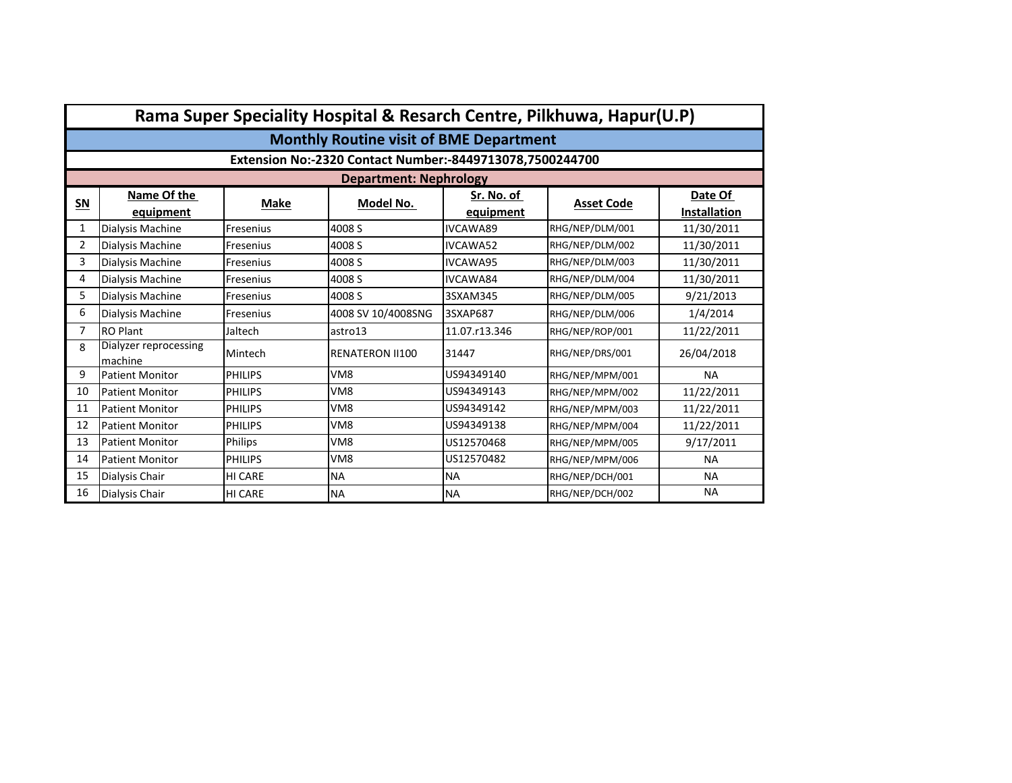|                | Rama Super Speciality Hospital & Resarch Centre, Pilkhuwa, Hapur(U.P) |                |                                                          |               |                   |                     |  |  |  |
|----------------|-----------------------------------------------------------------------|----------------|----------------------------------------------------------|---------------|-------------------|---------------------|--|--|--|
|                | <b>Monthly Routine visit of BME Department</b>                        |                |                                                          |               |                   |                     |  |  |  |
|                |                                                                       |                | Extension No:-2320 Contact Number:-8449713078,7500244700 |               |                   |                     |  |  |  |
|                |                                                                       |                | <b>Department: Nephrology</b>                            |               |                   |                     |  |  |  |
| $SN$           | Name Of the                                                           | Make           | Model No.                                                | Sr. No. of    | <b>Asset Code</b> | Date Of             |  |  |  |
|                | equipment                                                             |                |                                                          | equipment     |                   | <b>Installation</b> |  |  |  |
| $\mathbf{1}$   | Dialysis Machine                                                      | Fresenius      | 4008 S                                                   | IVCAWA89      | RHG/NEP/DLM/001   | 11/30/2011          |  |  |  |
| $\overline{2}$ | Dialysis Machine                                                      | Fresenius      | 4008 S                                                   | IVCAWA52      | RHG/NEP/DLM/002   | 11/30/2011          |  |  |  |
| 3              | Dialysis Machine                                                      | Fresenius      | 4008 S                                                   | IVCAWA95      | RHG/NEP/DLM/003   | 11/30/2011          |  |  |  |
| 4              | Dialysis Machine                                                      | Fresenius      | 4008 S                                                   | IVCAWA84      | RHG/NEP/DLM/004   | 11/30/2011          |  |  |  |
| 5              | Dialysis Machine                                                      | Fresenius      | 4008 S                                                   | 3SXAM345      | RHG/NEP/DLM/005   | 9/21/2013           |  |  |  |
| 6              | Dialysis Machine                                                      | Fresenius      | 4008 SV 10/4008SNG                                       | 3SXAP687      | RHG/NEP/DLM/006   | 1/4/2014            |  |  |  |
| 7              | <b>RO Plant</b>                                                       | Jaltech        | astro13                                                  | 11.07.r13.346 | RHG/NEP/ROP/001   | 11/22/2011          |  |  |  |
| 8              | Dialyzer reprocessing<br>machine                                      | Mintech        | <b>RENATERON II100</b>                                   | 31447         | RHG/NEP/DRS/001   | 26/04/2018          |  |  |  |
| 9              | <b>Patient Monitor</b>                                                | <b>PHILIPS</b> | VM <sub>8</sub>                                          | US94349140    | RHG/NEP/MPM/001   | <b>NA</b>           |  |  |  |
| 10             | <b>Patient Monitor</b>                                                | <b>PHILIPS</b> | VM <sub>8</sub>                                          | US94349143    | RHG/NEP/MPM/002   | 11/22/2011          |  |  |  |
| 11             | <b>Patient Monitor</b>                                                | <b>PHILIPS</b> | VM <sub>8</sub>                                          | US94349142    | RHG/NEP/MPM/003   | 11/22/2011          |  |  |  |
| 12             | <b>Patient Monitor</b>                                                | <b>PHILIPS</b> | VM <sub>8</sub>                                          | US94349138    | RHG/NEP/MPM/004   | 11/22/2011          |  |  |  |
| 13             | <b>Patient Monitor</b>                                                | Philips        | VM <sub>8</sub>                                          | US12570468    | RHG/NEP/MPM/005   | 9/17/2011           |  |  |  |
| 14             | <b>Patient Monitor</b>                                                | <b>PHILIPS</b> | VM <sub>8</sub>                                          | US12570482    | RHG/NEP/MPM/006   | <b>NA</b>           |  |  |  |
| 15             | Dialysis Chair                                                        | HI CARE        | <b>NA</b>                                                | <b>NA</b>     | RHG/NEP/DCH/001   | <b>NA</b>           |  |  |  |
| 16             | Dialysis Chair                                                        | HI CARE        | <b>NA</b>                                                | <b>NA</b>     | RHG/NEP/DCH/002   | <b>NA</b>           |  |  |  |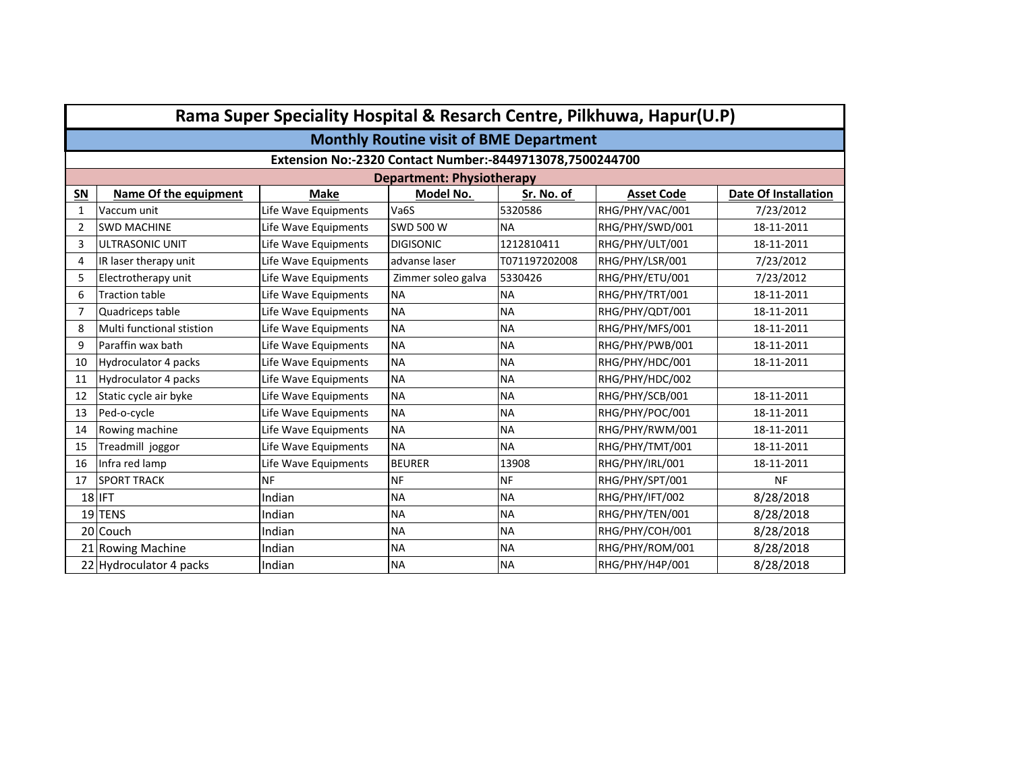|                | Rama Super Speciality Hospital & Resarch Centre, Pilkhuwa, Hapur(U.P) |                      |                                  |               |                   |                             |  |  |  |  |
|----------------|-----------------------------------------------------------------------|----------------------|----------------------------------|---------------|-------------------|-----------------------------|--|--|--|--|
|                | <b>Monthly Routine visit of BME Department</b>                        |                      |                                  |               |                   |                             |  |  |  |  |
|                | Extension No:-2320 Contact Number:-8449713078,7500244700              |                      |                                  |               |                   |                             |  |  |  |  |
|                |                                                                       |                      | <b>Department: Physiotherapy</b> |               |                   |                             |  |  |  |  |
| SN             | Name Of the equipment                                                 | <b>Make</b>          | Model No.                        | Sr. No. of    | <b>Asset Code</b> | <b>Date Of Installation</b> |  |  |  |  |
| 1              | Vaccum unit                                                           | Life Wave Equipments | Va6S                             | 5320586       | RHG/PHY/VAC/001   | 7/23/2012                   |  |  |  |  |
| $\overline{2}$ | <b>SWD MACHINE</b>                                                    | Life Wave Equipments | <b>SWD 500 W</b>                 | <b>NA</b>     | RHG/PHY/SWD/001   | 18-11-2011                  |  |  |  |  |
| 3              | ULTRASONIC UNIT                                                       | Life Wave Equipments | <b>DIGISONIC</b>                 | 1212810411    | RHG/PHY/ULT/001   | 18-11-2011                  |  |  |  |  |
| $\overline{4}$ | IR laser therapy unit                                                 | Life Wave Equipments | advanse laser                    | T071197202008 | RHG/PHY/LSR/001   | 7/23/2012                   |  |  |  |  |
| 5              | Electrotherapy unit                                                   | Life Wave Equipments | Zimmer soleo galva               | 5330426       | RHG/PHY/ETU/001   | 7/23/2012                   |  |  |  |  |
| 6              | <b>Traction table</b>                                                 | Life Wave Equipments | <b>NA</b>                        | <b>NA</b>     | RHG/PHY/TRT/001   | 18-11-2011                  |  |  |  |  |
| 7              | Quadriceps table                                                      | Life Wave Equipments | <b>NA</b>                        | <b>NA</b>     | RHG/PHY/QDT/001   | 18-11-2011                  |  |  |  |  |
| 8              | Multi functional stistion                                             | Life Wave Equipments | <b>NA</b>                        | <b>NA</b>     | RHG/PHY/MFS/001   | 18-11-2011                  |  |  |  |  |
| 9              | Paraffin wax bath                                                     | Life Wave Equipments | <b>NA</b>                        | <b>NA</b>     | RHG/PHY/PWB/001   | 18-11-2011                  |  |  |  |  |
| 10             | Hydroculator 4 packs                                                  | Life Wave Equipments | <b>NA</b>                        | <b>NA</b>     | RHG/PHY/HDC/001   | 18-11-2011                  |  |  |  |  |
| 11             | Hydroculator 4 packs                                                  | Life Wave Equipments | <b>NA</b>                        | <b>NA</b>     | RHG/PHY/HDC/002   |                             |  |  |  |  |
| 12             | Static cycle air byke                                                 | Life Wave Equipments | <b>NA</b>                        | <b>NA</b>     | RHG/PHY/SCB/001   | 18-11-2011                  |  |  |  |  |
| 13             | Ped-o-cycle                                                           | Life Wave Equipments | <b>NA</b>                        | <b>NA</b>     | RHG/PHY/POC/001   | 18-11-2011                  |  |  |  |  |
| 14             | Rowing machine                                                        | Life Wave Equipments | <b>NA</b>                        | <b>NA</b>     | RHG/PHY/RWM/001   | 18-11-2011                  |  |  |  |  |
| 15             | Treadmill joggor                                                      | Life Wave Equipments | <b>NA</b>                        | <b>NA</b>     | RHG/PHY/TMT/001   | 18-11-2011                  |  |  |  |  |
| 16             | Infra red lamp                                                        | Life Wave Equipments | <b>BEURER</b>                    | 13908         | RHG/PHY/IRL/001   | 18-11-2011                  |  |  |  |  |
| 17             | <b>SPORT TRACK</b>                                                    | <b>NF</b>            | <b>NF</b>                        | <b>NF</b>     | RHG/PHY/SPT/001   | <b>NF</b>                   |  |  |  |  |
|                | 18 IFT                                                                | Indian               | <b>NA</b>                        | <b>NA</b>     | RHG/PHY/IFT/002   | 8/28/2018                   |  |  |  |  |
|                | 19 TENS                                                               | Indian               | <b>NA</b>                        | <b>NA</b>     | RHG/PHY/TEN/001   | 8/28/2018                   |  |  |  |  |
|                | 20 Couch                                                              | Indian               | <b>NA</b>                        | <b>NA</b>     | RHG/PHY/COH/001   | 8/28/2018                   |  |  |  |  |
|                | 21 Rowing Machine                                                     | Indian               | <b>NA</b>                        | <b>NA</b>     | RHG/PHY/ROM/001   | 8/28/2018                   |  |  |  |  |
|                | 22 Hydroculator 4 packs                                               | Indian               | <b>NA</b>                        | <b>NA</b>     | RHG/PHY/H4P/001   | 8/28/2018                   |  |  |  |  |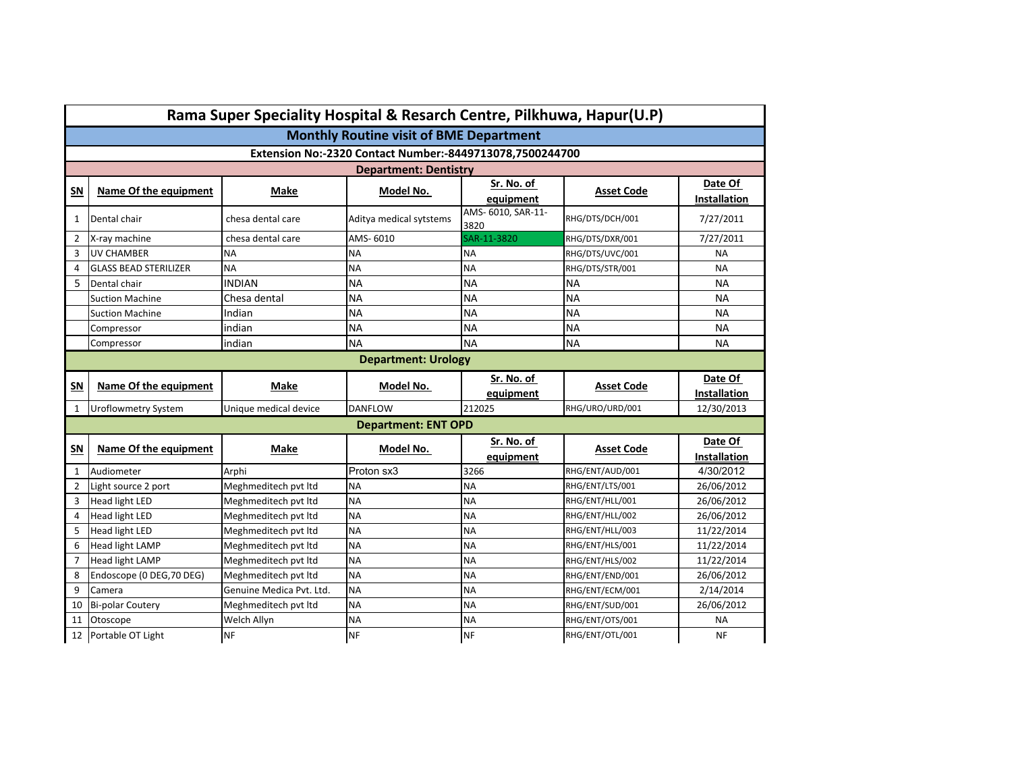| Rama Super Speciality Hospital & Resarch Centre, Pilkhuwa, Hapur(U.P) |                                                          |                          |                                                |                            |                   |                                |  |  |
|-----------------------------------------------------------------------|----------------------------------------------------------|--------------------------|------------------------------------------------|----------------------------|-------------------|--------------------------------|--|--|
|                                                                       |                                                          |                          | <b>Monthly Routine visit of BME Department</b> |                            |                   |                                |  |  |
|                                                                       | Extension No:-2320 Contact Number:-8449713078,7500244700 |                          |                                                |                            |                   |                                |  |  |
|                                                                       |                                                          |                          | <b>Department: Dentistry</b>                   |                            |                   |                                |  |  |
| SN                                                                    | Name Of the equipment                                    | Make                     | Model No.                                      | Sr. No. of<br>equipment    | <b>Asset Code</b> | Date Of<br><b>Installation</b> |  |  |
| 1                                                                     | Dental chair                                             | chesa dental care        | Aditya medical sytstems                        | AMS- 6010, SAR-11-<br>3820 | RHG/DTS/DCH/001   | 7/27/2011                      |  |  |
| $\overline{2}$                                                        | X-ray machine                                            | chesa dental care        | AMS-6010                                       | SAR-11-3820                | RHG/DTS/DXR/001   | 7/27/2011                      |  |  |
| 3                                                                     | <b>UV CHAMBER</b>                                        | <b>NA</b>                | <b>NA</b>                                      | <b>NA</b>                  | RHG/DTS/UVC/001   | <b>NA</b>                      |  |  |
| $\overline{4}$                                                        | <b>GLASS BEAD STERILIZER</b>                             | <b>NA</b>                | <b>NA</b>                                      | <b>NA</b>                  | RHG/DTS/STR/001   | <b>NA</b>                      |  |  |
| 5                                                                     | Dental chair                                             | <b>INDIAN</b>            | <b>NA</b>                                      | <b>NA</b>                  | <b>NA</b>         | <b>NA</b>                      |  |  |
|                                                                       | <b>Suction Machine</b>                                   | Chesa dental             | <b>NA</b>                                      | <b>NA</b>                  | <b>NA</b>         | <b>NA</b>                      |  |  |
|                                                                       | <b>Suction Machine</b>                                   | Indian                   | <b>NA</b>                                      | <b>NA</b>                  | <b>NA</b>         | <b>NA</b>                      |  |  |
|                                                                       | Compressor                                               | indian                   | <b>NA</b>                                      | <b>NA</b>                  | <b>NA</b>         | <b>NA</b>                      |  |  |
|                                                                       | Compressor                                               | indian                   | <b>NA</b>                                      | <b>NA</b>                  | <b>NA</b>         | <b>NA</b>                      |  |  |
|                                                                       |                                                          |                          | <b>Department: Urology</b>                     |                            |                   |                                |  |  |
|                                                                       | Sr. No. of<br>Date Of                                    |                          |                                                |                            |                   |                                |  |  |
| SN                                                                    | Name Of the equipment                                    | Make                     | Model No.                                      | equipment                  | <b>Asset Code</b> | <b>Installation</b>            |  |  |
| 1                                                                     | <b>Uroflowmetry System</b>                               | Unique medical device    | <b>DANFLOW</b>                                 | 212025                     | RHG/URO/URD/001   | 12/30/2013                     |  |  |
|                                                                       |                                                          |                          | <b>Department: ENT OPD</b>                     |                            |                   |                                |  |  |
| SN                                                                    | Name Of the equipment                                    | Make                     | Model No.                                      | Sr. No. of<br>equipment    | <b>Asset Code</b> | Date Of<br>Installation        |  |  |
| $\mathbf{1}$                                                          | Audiometer                                               | Arphi                    | Proton sx3                                     | 3266                       | RHG/ENT/AUD/001   | 4/30/2012                      |  |  |
| 2                                                                     | Light source 2 port                                      | Meghmeditech pvt ltd     | <b>NA</b>                                      | <b>NA</b>                  | RHG/ENT/LTS/001   | 26/06/2012                     |  |  |
| 3                                                                     | <b>Head light LED</b>                                    | Meghmeditech pvt ltd     | <b>NA</b>                                      | <b>NA</b>                  | RHG/ENT/HLL/001   | 26/06/2012                     |  |  |
| $\overline{4}$                                                        | <b>Head light LED</b>                                    | Meghmeditech pvt ltd     | <b>NA</b>                                      | <b>NA</b>                  | RHG/ENT/HLL/002   | 26/06/2012                     |  |  |
| 5                                                                     | <b>Head light LED</b>                                    | Meghmeditech pvt ltd     | <b>NA</b>                                      | <b>NA</b>                  | RHG/ENT/HLL/003   | 11/22/2014                     |  |  |
| 6                                                                     | <b>Head light LAMP</b>                                   | Meghmeditech pvt ltd     | <b>NA</b>                                      | <b>NA</b>                  | RHG/ENT/HLS/001   | 11/22/2014                     |  |  |
| $\overline{7}$                                                        | <b>Head light LAMP</b>                                   | Meghmeditech pvt ltd     | <b>NA</b>                                      | <b>NA</b>                  | RHG/ENT/HLS/002   | 11/22/2014                     |  |  |
| 8                                                                     | Endoscope (0 DEG, 70 DEG)                                | Meghmeditech pvt ltd     | <b>NA</b>                                      | <b>NA</b>                  | RHG/ENT/END/001   | 26/06/2012                     |  |  |
| 9                                                                     | Camera                                                   | Genuine Medica Pvt. Ltd. | NA                                             | <b>NA</b>                  | RHG/ENT/ECM/001   | 2/14/2014                      |  |  |
| 10                                                                    | <b>Bi-polar Coutery</b>                                  | Meghmeditech pvt ltd     | <b>NA</b>                                      | <b>NA</b>                  | RHG/ENT/SUD/001   | 26/06/2012                     |  |  |
| <b>NA</b>                                                             |                                                          | <b>NA</b>                | RHG/ENT/OTS/001                                | <b>NA</b>                  |                   |                                |  |  |
| 11                                                                    | Otoscope                                                 | Welch Allyn              |                                                |                            |                   |                                |  |  |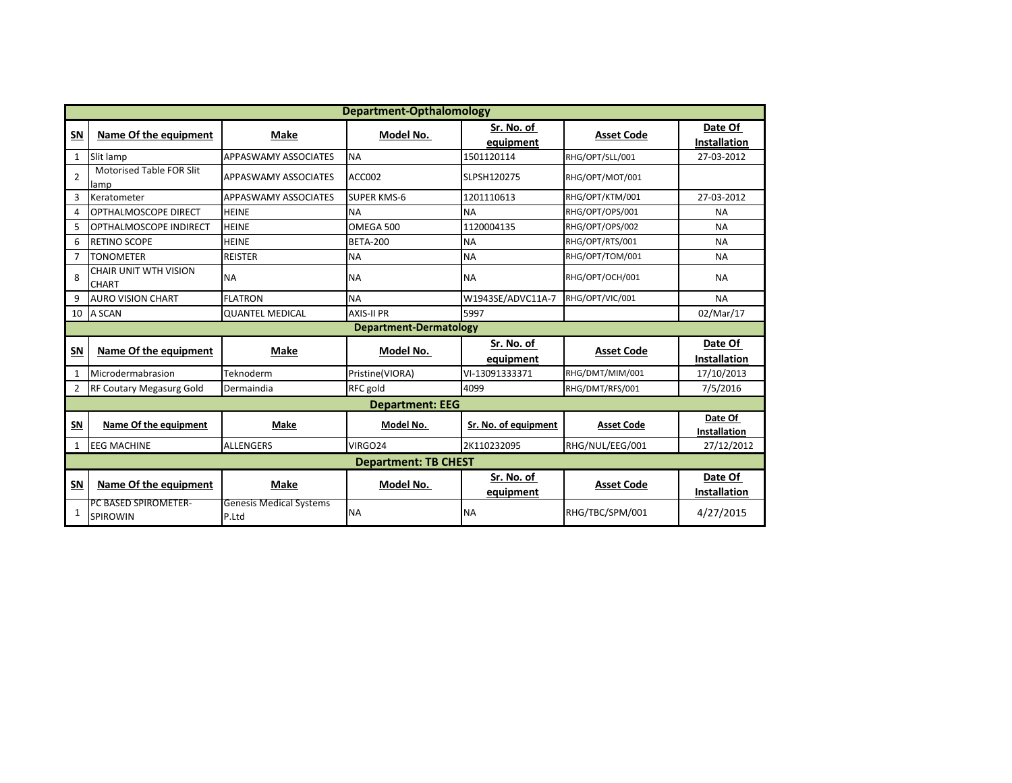|                       | <b>Department-Opthalomology</b>              |                                         |                             |                         |                   |                                |  |  |  |
|-----------------------|----------------------------------------------|-----------------------------------------|-----------------------------|-------------------------|-------------------|--------------------------------|--|--|--|
| SN                    | Name Of the equipment                        | Make                                    | Model No.                   | Sr. No. of<br>equipment | <b>Asset Code</b> | Date Of<br>Installation        |  |  |  |
| $\mathbf{1}$          | Slit lamp                                    | <b>APPASWAMY ASSOCIATES</b>             | <b>NA</b>                   | 1501120114              | RHG/OPT/SLL/001   | 27-03-2012                     |  |  |  |
| 2                     | Motorised Table FOR Slit<br>lamp             | <b>APPASWAMY ASSOCIATES</b>             | ACC002                      | SLPSH120275             | RHG/OPT/MOT/001   |                                |  |  |  |
| 3                     | Keratometer                                  | <b>APPASWAMY ASSOCIATES</b>             | <b>SUPER KMS-6</b>          | 1201110613              | RHG/OPT/KTM/001   | 27-03-2012                     |  |  |  |
| 4                     | OPTHALMOSCOPE DIRECT                         | <b>HEINE</b>                            | <b>NA</b>                   | <b>NA</b>               | RHG/OPT/OPS/001   | <b>NA</b>                      |  |  |  |
| 5                     | OPTHALMOSCOPE INDIRECT                       | <b>HEINE</b>                            | OMEGA 500                   | 1120004135              | RHG/OPT/OPS/002   | <b>NA</b>                      |  |  |  |
| 6                     | <b>RETINO SCOPE</b>                          | <b>HEINE</b>                            | <b>BETA-200</b>             | <b>NA</b>               | RHG/OPT/RTS/001   | <b>NA</b>                      |  |  |  |
| $\overline{7}$        | <b>TONOMETER</b>                             | <b>REISTER</b>                          | <b>NA</b>                   | <b>NA</b>               | RHG/OPT/TOM/001   | <b>NA</b>                      |  |  |  |
| $\mathsf{\mathsf{R}}$ | <b>CHAIR UNIT WTH VISION</b><br><b>CHART</b> | <b>NA</b>                               | <b>NA</b>                   | <b>NA</b>               | RHG/OPT/OCH/001   | <b>NA</b>                      |  |  |  |
| 9                     | <b>AURO VISION CHART</b>                     | <b>FLATRON</b>                          | <b>NA</b>                   | W1943SE/ADVC11A-7       | RHG/OPT/VIC/001   | <b>NA</b>                      |  |  |  |
| 10                    | A SCAN                                       | <b>QUANTEL MEDICAL</b>                  | <b>AXIS-II PR</b>           | 5997                    |                   | 02/Mar/17                      |  |  |  |
|                       |                                              |                                         | Department-Dermatology      |                         |                   |                                |  |  |  |
| SN                    | Name Of the equipment                        | Make                                    | Model No.                   | Sr. No. of<br>equipment | <b>Asset Code</b> | Date Of<br><b>Installation</b> |  |  |  |
| $\mathbf{1}$          | Microdermabrasion                            | Teknoderm                               | Pristine(VIORA)             | VI-13091333371          | RHG/DMT/MIM/001   | 17/10/2013                     |  |  |  |
| $\overline{2}$        | <b>RF Coutary Megasurg Gold</b>              | Dermaindia                              | RFC gold                    | 4099                    | RHG/DMT/RFS/001   | 7/5/2016                       |  |  |  |
|                       |                                              |                                         | <b>Department: EEG</b>      |                         |                   |                                |  |  |  |
| SN                    | Name Of the equipment                        | <b>Make</b>                             | Model No.                   | Sr. No. of equipment    | <b>Asset Code</b> | Date Of<br><b>Installation</b> |  |  |  |
| 1                     | <b>EEG MACHINE</b>                           | <b>ALLENGERS</b>                        | VIRGO24                     | 2K110232095             | RHG/NUL/EEG/001   | 27/12/2012                     |  |  |  |
|                       |                                              |                                         | <b>Department: TB CHEST</b> |                         |                   |                                |  |  |  |
| S <sub>N</sub>        | Name Of the equipment                        | Make                                    | Model No.                   | Sr. No. of<br>equipment | <b>Asset Code</b> | Date Of<br><b>Installation</b> |  |  |  |
| 1                     | PC BASED SPIROMETER-<br><b>SPIROWIN</b>      | <b>Genesis Medical Systems</b><br>P.Ltd | <b>NA</b>                   | <b>NA</b>               | RHG/TBC/SPM/001   | 4/27/2015                      |  |  |  |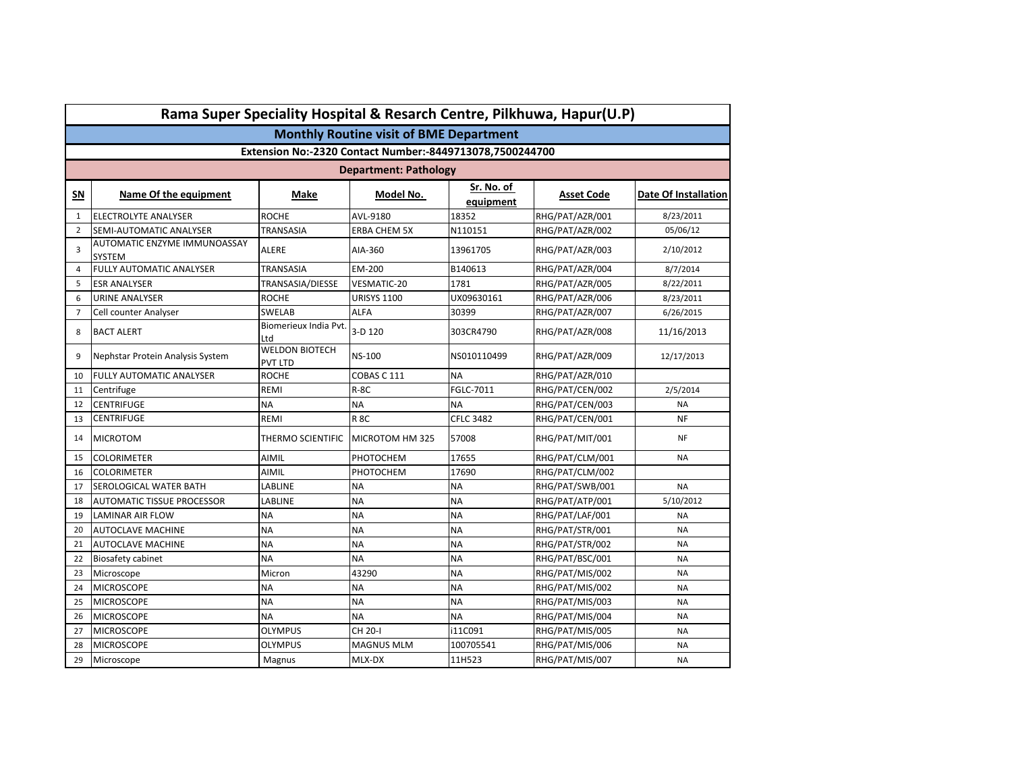|                | Rama Super Speciality Hospital & Resarch Centre, Pilkhuwa, Hapur(U.P) |                                         |                                                          |                         |                 |                      |  |  |  |
|----------------|-----------------------------------------------------------------------|-----------------------------------------|----------------------------------------------------------|-------------------------|-----------------|----------------------|--|--|--|
|                |                                                                       |                                         | <b>Monthly Routine visit of BME Department</b>           |                         |                 |                      |  |  |  |
|                |                                                                       |                                         | Extension No:-2320 Contact Number:-8449713078,7500244700 |                         |                 |                      |  |  |  |
|                | <b>Department: Pathology</b>                                          |                                         |                                                          |                         |                 |                      |  |  |  |
| SΝ             | Name Of the equipment                                                 | Make                                    | Model No.                                                | Sr. No. of<br>equipment | Asset Code      | Date Of Installation |  |  |  |
| $\mathbf{1}$   | ELECTROLYTE ANALYSER                                                  | <b>ROCHE</b>                            | AVL-9180                                                 | 18352                   | RHG/PAT/AZR/001 | 8/23/2011            |  |  |  |
| $\overline{2}$ | SEMI-AUTOMATIC ANALYSER                                               | TRANSASIA                               | <b>ERBA CHEM 5X</b>                                      | N110151                 | RHG/PAT/AZR/002 | 05/06/12             |  |  |  |
| 3              | AUTOMATIC ENZYME IMMUNOASSAY<br>SYSTEM                                | <b>ALERE</b>                            | AIA-360                                                  | 13961705                | RHG/PAT/AZR/003 | 2/10/2012            |  |  |  |
| 4              | <b>FULLY AUTOMATIC ANALYSER</b>                                       | TRANSASIA                               | EM-200                                                   | B140613                 | RHG/PAT/AZR/004 | 8/7/2014             |  |  |  |
| 5              | <b>ESR ANALYSER</b>                                                   | TRANSASIA/DIESSE                        | VESMATIC-20                                              | 1781                    | RHG/PAT/AZR/005 | 8/22/2011            |  |  |  |
| 6              | URINE ANALYSER                                                        | <b>ROCHE</b>                            | <b>URISYS 1100</b>                                       | UX09630161              | RHG/PAT/AZR/006 | 8/23/2011            |  |  |  |
| $\overline{7}$ | Cell counter Analyser                                                 | <b>SWELAB</b>                           | ALFA                                                     | 30399                   | RHG/PAT/AZR/007 | 6/26/2015            |  |  |  |
| 8              | <b>BACT ALERT</b>                                                     | Biomerieux India Pvt.<br>Ltd            | 3-D 120                                                  | 303CR4790               | RHG/PAT/AZR/008 | 11/16/2013           |  |  |  |
| 9              | Nephstar Protein Analysis System                                      | <b>WELDON BIOTECH</b><br><b>PVT LTD</b> | <b>NS-100</b>                                            | NS010110499             | RHG/PAT/AZR/009 | 12/17/2013           |  |  |  |
| 10             | FULLY AUTOMATIC ANALYSER                                              | <b>ROCHE</b>                            | COBAS C 111                                              | <b>NA</b>               | RHG/PAT/AZR/010 |                      |  |  |  |
| 11             | Centrifuge                                                            | REMI                                    | $R-8C$                                                   | FGLC-7011               | RHG/PAT/CEN/002 | 2/5/2014             |  |  |  |
| 12             | CENTRIFUGE                                                            | <b>NA</b>                               | NΑ                                                       | <b>NA</b>               | RHG/PAT/CEN/003 | <b>NA</b>            |  |  |  |
| 13             | CENTRIFUGE                                                            | REMI                                    | <b>R 8C</b>                                              | <b>CFLC 3482</b>        | RHG/PAT/CEN/001 | <b>NF</b>            |  |  |  |
| 14             | <b>MICROTOM</b>                                                       | THERMO SCIENTIFIC                       | MICROTOM HM 325                                          | 57008                   | RHG/PAT/MIT/001 | <b>NF</b>            |  |  |  |
| 15             | <b>COLORIMETER</b>                                                    | AIMIL                                   | PHOTOCHEM                                                | 17655                   | RHG/PAT/CLM/001 | <b>NA</b>            |  |  |  |
| 16             | <b>COLORIMETER</b>                                                    | AIMIL                                   | PHOTOCHEM                                                | 17690                   | RHG/PAT/CLM/002 |                      |  |  |  |
| 17             | SEROLOGICAL WATER BATH                                                | LABLINE                                 | <b>NA</b>                                                | <b>NA</b>               | RHG/PAT/SWB/001 | <b>NA</b>            |  |  |  |
| 18             | <b>AUTOMATIC TISSUE PROCESSOR</b>                                     | LABLINE                                 | <b>NA</b>                                                | <b>NA</b>               | RHG/PAT/ATP/001 | 5/10/2012            |  |  |  |
| 19             | <b>LAMINAR AIR FLOW</b>                                               | <b>NA</b>                               | <b>NA</b>                                                | <b>NA</b>               | RHG/PAT/LAF/001 | <b>NA</b>            |  |  |  |
| 20             | <b>AUTOCLAVE MACHINE</b>                                              | <b>NA</b>                               | <b>NA</b>                                                | <b>NA</b>               | RHG/PAT/STR/001 | <b>NA</b>            |  |  |  |
| 21             | <b>AUTOCLAVE MACHINE</b>                                              | <b>NA</b>                               | <b>NA</b>                                                | <b>NA</b>               | RHG/PAT/STR/002 | <b>NA</b>            |  |  |  |
| 22             | <b>Biosafety cabinet</b>                                              | <b>NA</b>                               | <b>NA</b>                                                | <b>NA</b>               | RHG/PAT/BSC/001 | <b>NA</b>            |  |  |  |
| 23             | Microscope                                                            | Micron                                  | 43290                                                    | <b>NA</b>               | RHG/PAT/MIS/002 | <b>NA</b>            |  |  |  |
| 24             | <b>MICROSCOPE</b>                                                     | <b>NA</b>                               | <b>NA</b>                                                | <b>NA</b>               | RHG/PAT/MIS/002 | <b>NA</b>            |  |  |  |
| 25             | <b>MICROSCOPE</b>                                                     | <b>NA</b>                               | <b>NA</b>                                                | <b>NA</b>               | RHG/PAT/MIS/003 | <b>NA</b>            |  |  |  |
| 26             | <b>MICROSCOPE</b>                                                     | <b>NA</b>                               | <b>NA</b>                                                | <b>NA</b>               | RHG/PAT/MIS/004 | <b>NA</b>            |  |  |  |
| 27             | <b>MICROSCOPE</b>                                                     | <b>OLYMPUS</b>                          | CH 20-I                                                  | i11C091                 | RHG/PAT/MIS/005 | <b>NA</b>            |  |  |  |
| 28             | <b>MICROSCOPE</b>                                                     | <b>OLYMPUS</b>                          | <b>MAGNUS MLM</b>                                        | 100705541               | RHG/PAT/MIS/006 | <b>NA</b>            |  |  |  |
| 29             | Microscope                                                            | Magnus                                  | MLX-DX                                                   | 11H523                  | RHG/PAT/MIS/007 | <b>NA</b>            |  |  |  |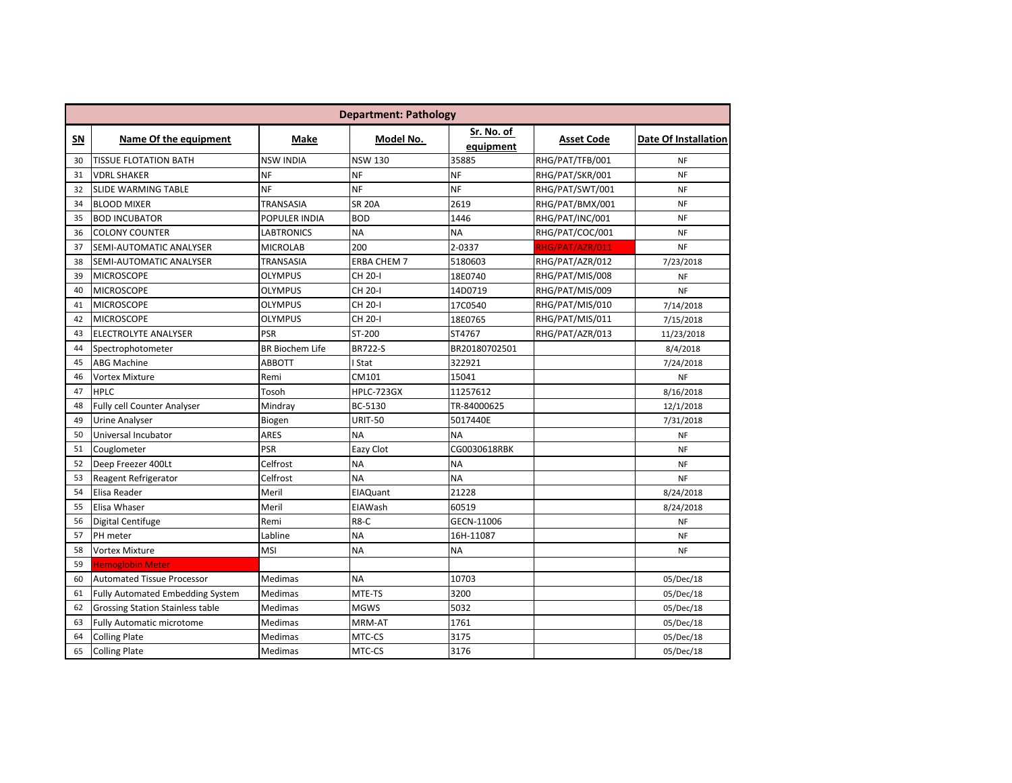|    | <b>Department: Pathology</b>            |                        |                    |                         |                   |                             |  |  |  |
|----|-----------------------------------------|------------------------|--------------------|-------------------------|-------------------|-----------------------------|--|--|--|
| SΝ | Name Of the equipment                   | Make                   | Model No.          | Sr. No. of<br>equipment | <b>Asset Code</b> | <b>Date Of Installation</b> |  |  |  |
| 30 | <b>TISSUE FLOTATION BATH</b>            | <b>NSW INDIA</b>       | <b>NSW 130</b>     | 35885                   | RHG/PAT/TFB/001   | <b>NF</b>                   |  |  |  |
| 31 | <b>VDRL SHAKER</b>                      | <b>NF</b>              | <b>NF</b>          | <b>NF</b>               | RHG/PAT/SKR/001   | <b>NF</b>                   |  |  |  |
| 32 | <b>SLIDE WARMING TABLE</b>              | <b>NF</b>              | <b>NF</b>          | <b>NF</b>               | RHG/PAT/SWT/001   | <b>NF</b>                   |  |  |  |
| 34 | <b>BLOOD MIXER</b>                      | TRANSASIA              | <b>SR 20A</b>      | 2619                    | RHG/PAT/BMX/001   | <b>NF</b>                   |  |  |  |
| 35 | <b>BOD INCUBATOR</b>                    | POPULER INDIA          | <b>BOD</b>         | 1446                    | RHG/PAT/INC/001   | <b>NF</b>                   |  |  |  |
| 36 | <b>COLONY COUNTER</b>                   | <b>LABTRONICS</b>      | <b>NA</b>          | <b>NA</b>               | RHG/PAT/COC/001   | <b>NF</b>                   |  |  |  |
| 37 | SEMI-AUTOMATIC ANALYSER                 | <b>MICROLAB</b>        | 200                | 2-0337                  | RHG/PAT/AZR/011   | <b>NF</b>                   |  |  |  |
| 38 | SEMI-AUTOMATIC ANALYSER                 | TRANSASIA              | <b>ERBA CHEM 7</b> | 5180603                 | RHG/PAT/AZR/012   | 7/23/2018                   |  |  |  |
| 39 | <b>MICROSCOPE</b>                       | <b>OLYMPUS</b>         | CH 20-I            | 18E0740                 | RHG/PAT/MIS/008   | <b>NF</b>                   |  |  |  |
| 40 | <b>MICROSCOPE</b>                       | <b>OLYMPUS</b>         | CH 20-I            | 14D0719                 | RHG/PAT/MIS/009   | <b>NF</b>                   |  |  |  |
| 41 | <b>MICROSCOPE</b>                       | <b>OLYMPUS</b>         | CH 20-I            | 17C0540                 | RHG/PAT/MIS/010   | 7/14/2018                   |  |  |  |
| 42 | <b>MICROSCOPE</b>                       | <b>OLYMPUS</b>         | CH 20-I            | 18E0765                 | RHG/PAT/MIS/011   | 7/15/2018                   |  |  |  |
| 43 | <b>ELECTROLYTE ANALYSER</b>             | <b>PSR</b>             | ST-200             | ST4767                  | RHG/PAT/AZR/013   | 11/23/2018                  |  |  |  |
| 44 | Spectrophotometer                       | <b>BR Biochem Life</b> | <b>BR722-S</b>     | BR20180702501           |                   | 8/4/2018                    |  |  |  |
| 45 | <b>ABG Machine</b>                      | <b>ABBOTT</b>          | I Stat             | 322921                  |                   | 7/24/2018                   |  |  |  |
| 46 | <b>Vortex Mixture</b>                   | Remi                   | CM101              | 15041                   |                   | NF                          |  |  |  |
| 47 | <b>HPLC</b>                             | Tosoh                  | HPLC-723GX         | 11257612                |                   | 8/16/2018                   |  |  |  |
| 48 | <b>Fully cell Counter Analyser</b>      | Mindray                | BC-5130            | TR-84000625             |                   | 12/1/2018                   |  |  |  |
| 49 | <b>Urine Analyser</b>                   | Biogen                 | <b>URIT-50</b>     | 5017440E                |                   | 7/31/2018                   |  |  |  |
| 50 | Universal Incubator                     | <b>ARES</b>            | <b>NA</b>          | <b>NA</b>               |                   | <b>NF</b>                   |  |  |  |
| 51 | Couglometer                             | <b>PSR</b>             | Eazy Clot          | CG0030618RBK            |                   | <b>NF</b>                   |  |  |  |
| 52 | Deep Freezer 400Lt                      | Celfrost               | <b>NA</b>          | <b>NA</b>               |                   | <b>NF</b>                   |  |  |  |
| 53 | Reagent Refrigerator                    | Celfrost               | <b>NA</b>          | <b>NA</b>               |                   | <b>NF</b>                   |  |  |  |
| 54 | Elisa Reader                            | Meril                  | <b>EIAQuant</b>    | 21228                   |                   | 8/24/2018                   |  |  |  |
| 55 | Elisa Whaser                            | Meril                  | EIAWash            | 60519                   |                   | 8/24/2018                   |  |  |  |
| 56 | Digital Centifuge                       | Remi                   | R8-C               | GECN-11006              |                   | <b>NF</b>                   |  |  |  |
| 57 | PH meter                                | Labline                | <b>NA</b>          | 16H-11087               |                   | <b>NF</b>                   |  |  |  |
| 58 | <b>Vortex Mixture</b>                   | MSI                    | <b>NA</b>          | <b>NA</b>               |                   | <b>NF</b>                   |  |  |  |
| 59 | <b>Hemoglobin Meter</b>                 |                        |                    |                         |                   |                             |  |  |  |
| 60 | <b>Automated Tissue Processor</b>       | Medimas                | <b>NA</b>          | 10703                   |                   | 05/Dec/18                   |  |  |  |
| 61 | <b>Fully Automated Embedding System</b> | Medimas                | MTE-TS             | 3200                    |                   | 05/Dec/18                   |  |  |  |
| 62 | <b>Grossing Station Stainless table</b> | Medimas                | <b>MGWS</b>        | 5032                    |                   | 05/Dec/18                   |  |  |  |
| 63 | <b>Fully Automatic microtome</b>        | Medimas                | MRM-AT             | 1761                    |                   | 05/Dec/18                   |  |  |  |
| 64 | <b>Colling Plate</b>                    | Medimas                | MTC-CS             | 3175                    |                   | 05/Dec/18                   |  |  |  |
| 65 | <b>Colling Plate</b>                    | Medimas                | MTC-CS             | 3176                    |                   | 05/Dec/18                   |  |  |  |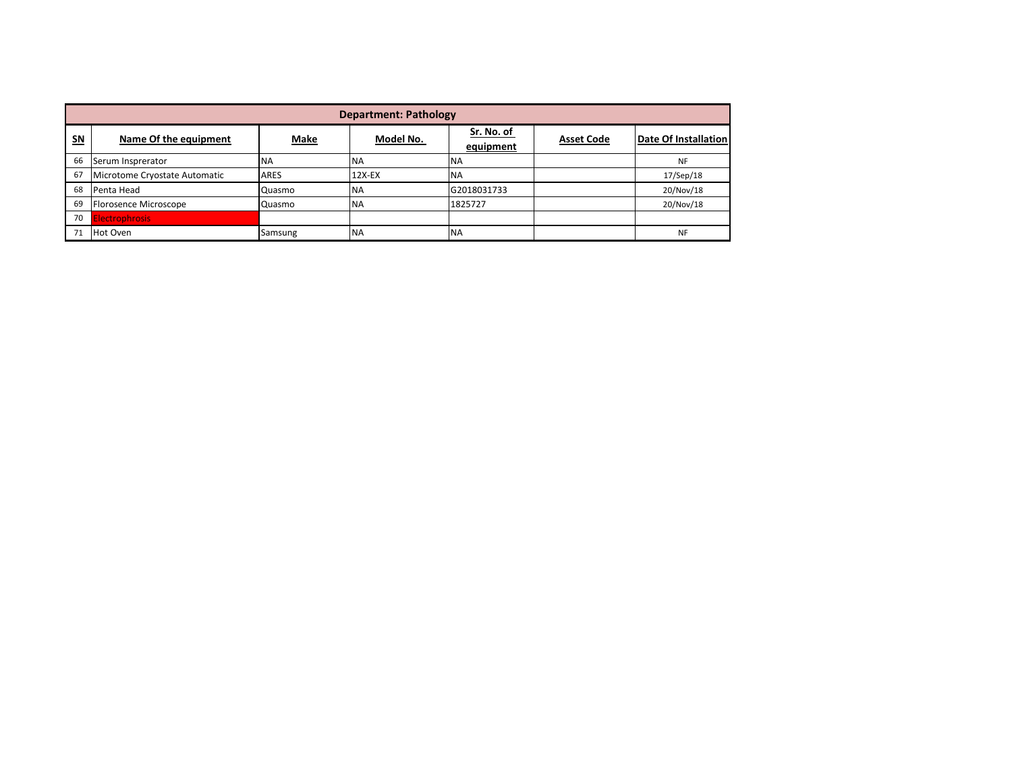|                | <b>Department: Pathology</b>  |             |           |                         |                   |                      |  |  |  |
|----------------|-------------------------------|-------------|-----------|-------------------------|-------------------|----------------------|--|--|--|
| S <sub>N</sub> | Name Of the equipment         | Make        | Model No. | Sr. No. of<br>equipment | <b>Asset Code</b> | Date Of Installation |  |  |  |
| 66             | Serum Insprerator             | <b>NA</b>   | <b>NA</b> | <b>NA</b>               |                   | <b>NF</b>            |  |  |  |
| 67             | Microtome Cryostate Automatic | <b>ARES</b> | 12X-EX    | <b>NA</b>               |                   | 17/Sep/18            |  |  |  |
| 68             | Penta Head                    | Quasmo      | <b>NA</b> | G2018031733             |                   | 20/Nov/18            |  |  |  |
| 69             | Florosence Microscope         | Quasmo      | <b>NA</b> | 1825727                 |                   | 20/Nov/18            |  |  |  |
| 70             | <b>Electrophrosis</b>         |             |           |                         |                   |                      |  |  |  |
| 71             | Hot Oven                      | Samsung     | <b>NA</b> | <b>NA</b>               |                   | <b>NF</b>            |  |  |  |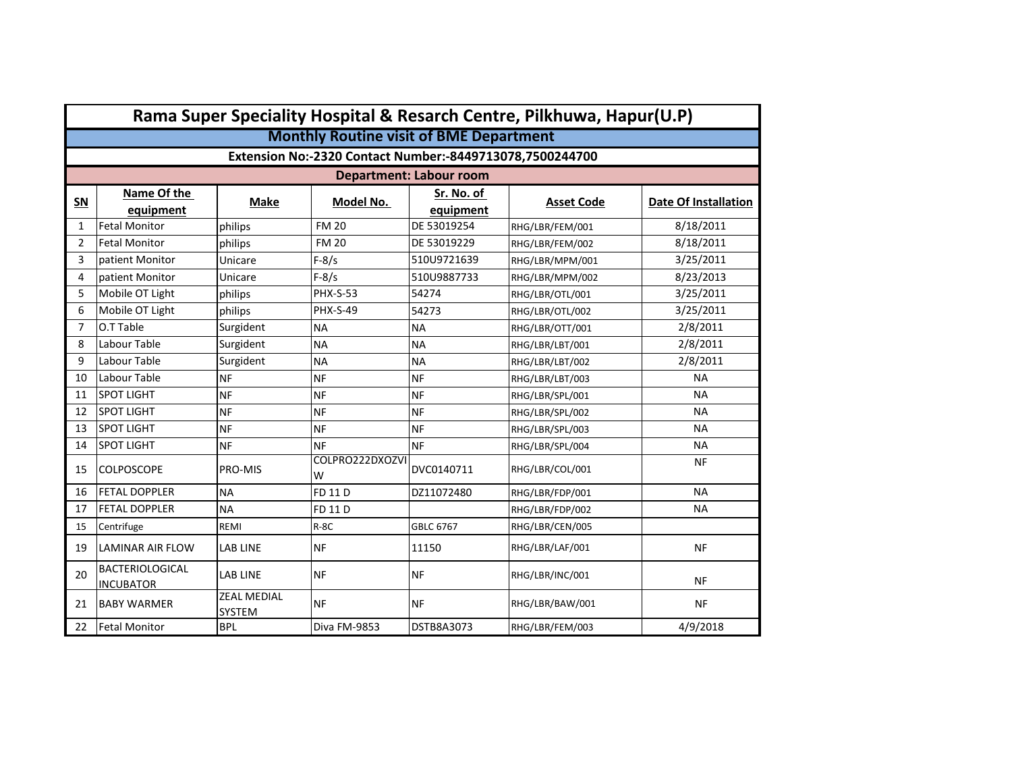|                | Rama Super Speciality Hospital & Resarch Centre, Pilkhuwa, Hapur(U.P) |                              |                      |                                |                   |                             |  |  |  |
|----------------|-----------------------------------------------------------------------|------------------------------|----------------------|--------------------------------|-------------------|-----------------------------|--|--|--|
|                | <b>Monthly Routine visit of BME Department</b>                        |                              |                      |                                |                   |                             |  |  |  |
|                | Extension No:-2320 Contact Number:-8449713078,7500244700              |                              |                      |                                |                   |                             |  |  |  |
|                |                                                                       |                              |                      | <b>Department: Labour room</b> |                   |                             |  |  |  |
| SN             | Name Of the<br>equipment                                              | <b>Make</b>                  | Model No.            | Sr. No. of<br>equipment        | <b>Asset Code</b> | <b>Date Of Installation</b> |  |  |  |
| $\mathbf{1}$   | <b>Fetal Monitor</b>                                                  | philips                      | <b>FM 20</b>         | DE 53019254                    | RHG/LBR/FEM/001   | 8/18/2011                   |  |  |  |
| $\overline{2}$ | <b>Fetal Monitor</b>                                                  | philips                      | <b>FM 20</b>         | DE 53019229                    | RHG/LBR/FEM/002   | 8/18/2011                   |  |  |  |
| 3              | patient Monitor                                                       | Unicare                      | $F-8/s$              | 510U9721639                    | RHG/LBR/MPM/001   | 3/25/2011                   |  |  |  |
| 4              | patient Monitor                                                       | Unicare                      | $F-8/s$              | 510U9887733                    | RHG/LBR/MPM/002   | 8/23/2013                   |  |  |  |
| 5              | Mobile OT Light                                                       | philips                      | <b>PHX-S-53</b>      | 54274                          | RHG/LBR/OTL/001   | 3/25/2011                   |  |  |  |
| 6              | Mobile OT Light                                                       | philips                      | <b>PHX-S-49</b>      | 54273                          | RHG/LBR/OTL/002   | 3/25/2011                   |  |  |  |
| 7              | O.T Table                                                             | Surgident                    | <b>NA</b>            | <b>NA</b>                      | RHG/LBR/OTT/001   | 2/8/2011                    |  |  |  |
| 8              | Labour Table                                                          | Surgident                    | <b>NA</b>            | <b>NA</b>                      | RHG/LBR/LBT/001   | 2/8/2011                    |  |  |  |
| 9              | Labour Table                                                          | Surgident                    | <b>NA</b>            | <b>NA</b>                      | RHG/LBR/LBT/002   | 2/8/2011                    |  |  |  |
| 10             | Labour Table                                                          | <b>NF</b>                    | <b>NF</b>            | <b>NF</b>                      | RHG/LBR/LBT/003   | <b>NA</b>                   |  |  |  |
| 11             | <b>SPOT LIGHT</b>                                                     | <b>NF</b>                    | <b>NF</b>            | <b>NF</b>                      | RHG/LBR/SPL/001   | <b>NA</b>                   |  |  |  |
| 12             | <b>SPOT LIGHT</b>                                                     | <b>NF</b>                    | <b>NF</b>            | <b>NF</b>                      | RHG/LBR/SPL/002   | <b>NA</b>                   |  |  |  |
| 13             | <b>SPOT LIGHT</b>                                                     | <b>NF</b>                    | <b>NF</b>            | <b>NF</b>                      | RHG/LBR/SPL/003   | <b>NA</b>                   |  |  |  |
| 14             | <b>SPOT LIGHT</b>                                                     | <b>NF</b>                    | <b>NF</b>            | <b>NF</b>                      | RHG/LBR/SPL/004   | <b>NA</b>                   |  |  |  |
| 15             | <b>COLPOSCOPE</b>                                                     | <b>PRO-MIS</b>               | COLPRO222DXOZVI<br>W | DVC0140711                     | RHG/LBR/COL/001   | <b>NF</b>                   |  |  |  |
| 16             | <b>FETAL DOPPLER</b>                                                  | <b>NA</b>                    | FD 11 D              | DZ11072480                     | RHG/LBR/FDP/001   | <b>NA</b>                   |  |  |  |
| 17             | <b>FETAL DOPPLER</b>                                                  | <b>NA</b>                    | <b>FD 11 D</b>       |                                | RHG/LBR/FDP/002   | <b>NA</b>                   |  |  |  |
| 15             | Centrifuge                                                            | REMI                         | $R-8C$               | GBLC 6767                      | RHG/LBR/CEN/005   |                             |  |  |  |
| 19             | LAMINAR AIR FLOW                                                      | <b>LAB LINE</b>              | <b>NF</b>            | 11150                          | RHG/LBR/LAF/001   | <b>NF</b>                   |  |  |  |
| 20             | <b>BACTERIOLOGICAL</b><br><b>INCUBATOR</b>                            | <b>LAB LINE</b>              | <b>NF</b>            | <b>NF</b>                      | RHG/LBR/INC/001   | <b>NF</b>                   |  |  |  |
| 21             | <b>BABY WARMER</b>                                                    | <b>ZEAL MEDIAL</b><br>SYSTEM | <b>NF</b>            | <b>NF</b>                      | RHG/LBR/BAW/001   | <b>NF</b>                   |  |  |  |
| 22             | <b>Fetal Monitor</b>                                                  | <b>BPL</b>                   | Diva FM-9853         | <b>DSTB8A3073</b>              | RHG/LBR/FEM/003   | 4/9/2018                    |  |  |  |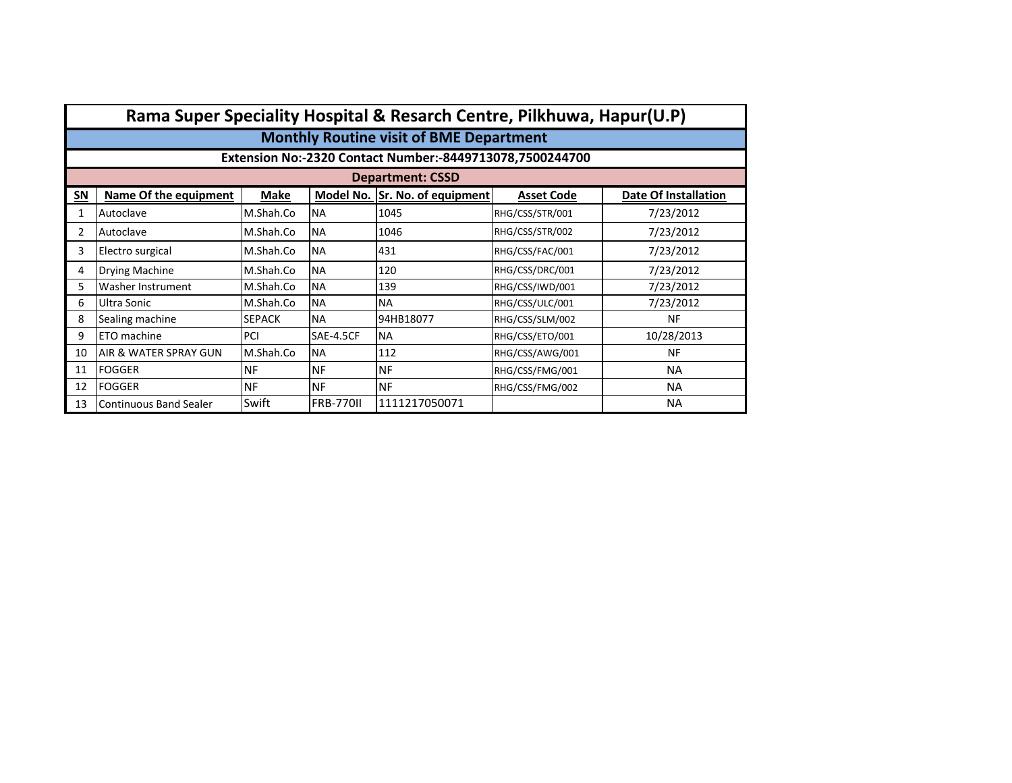|    | Rama Super Speciality Hospital & Resarch Centre, Pilkhuwa, Hapur(U.P) |               |                  |                             |                   |                      |  |  |  |  |
|----|-----------------------------------------------------------------------|---------------|------------------|-----------------------------|-------------------|----------------------|--|--|--|--|
|    | <b>Monthly Routine visit of BME Department</b>                        |               |                  |                             |                   |                      |  |  |  |  |
|    | Extension No:-2320 Contact Number:-8449713078,7500244700              |               |                  |                             |                   |                      |  |  |  |  |
|    | <b>Department: CSSD</b>                                               |               |                  |                             |                   |                      |  |  |  |  |
| SN | Name Of the equipment                                                 | <b>Make</b>   | Model No.        | <b>Sr. No. of equipment</b> | <b>Asset Code</b> | Date Of Installation |  |  |  |  |
| 1  | Autoclave                                                             | M.Shah.Co     | <b>NA</b>        | 1045                        | RHG/CSS/STR/001   | 7/23/2012            |  |  |  |  |
| 2  | Autoclave                                                             | M.Shah.Co     | <b>NA</b>        | 1046                        | RHG/CSS/STR/002   | 7/23/2012            |  |  |  |  |
| 3  | Electro surgical                                                      | M.Shah.Co     | <b>NA</b>        | 431                         | RHG/CSS/FAC/001   | 7/23/2012            |  |  |  |  |
| 4  | <b>Drying Machine</b>                                                 | M.Shah.Co     | <b>NA</b>        | 120                         | RHG/CSS/DRC/001   | 7/23/2012            |  |  |  |  |
| 5. | Washer Instrument                                                     | M.Shah.Co     | <b>NA</b>        | 139                         | RHG/CSS/IWD/001   | 7/23/2012            |  |  |  |  |
| 6  | Ultra Sonic                                                           | M.Shah.Co     | <b>NA</b>        | <b>NA</b>                   | RHG/CSS/ULC/001   | 7/23/2012            |  |  |  |  |
| 8  | Sealing machine                                                       | <b>SEPACK</b> | <b>NA</b>        | 94HB18077                   | RHG/CSS/SLM/002   | NF                   |  |  |  |  |
| 9  | ETO machine                                                           | PCI           | SAE-4.5CF        | <b>NA</b>                   | RHG/CSS/ETO/001   | 10/28/2013           |  |  |  |  |
| 10 | AIR & WATER SPRAY GUN                                                 | M.Shah.Co     | <b>NA</b>        | 112                         | RHG/CSS/AWG/001   | <b>NF</b>            |  |  |  |  |
| 11 | <b>FOGGER</b>                                                         | <b>NF</b>     | <b>NF</b>        | <b>NF</b>                   | RHG/CSS/FMG/001   | <b>NA</b>            |  |  |  |  |
| 12 | <b>FOGGER</b>                                                         | <b>NF</b>     | <b>NF</b>        | ΝF                          | RHG/CSS/FMG/002   | <b>NA</b>            |  |  |  |  |
| 13 | Continuous Band Sealer                                                | Swift         | <b>FRB-770II</b> | 1111217050071               |                   | <b>NA</b>            |  |  |  |  |